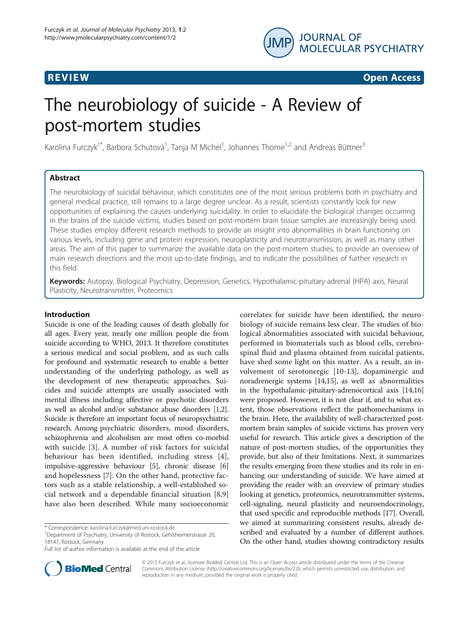

# **REVIEW CONSTRUCTION CONSTRUCTION CONSTRUCTION CONSTRUCTION CONSTRUCTION CONSTRUCTION CONSTRUCTION CONSTRUCTION**

# The neurobiology of suicide - A Review of post-mortem studies

Karolina Furczyk<sup>1\*</sup>, Barbora Schutová<sup>1</sup>, Tanja M Michel<sup>1</sup>, Johannes Thome<sup>1,2</sup> and Andreas Büttner<sup>3</sup>

# Abstract

The neurobiology of suicidal behaviour, which constitutes one of the most serious problems both in psychiatry and general medical practice, still remains to a large degree unclear. As a result, scientists constantly look for new opportunities of explaining the causes underlying suicidality. In order to elucidate the biological changes occurring in the brains of the suicide victims, studies based on post-mortem brain tissue samples are increasingly being used. These studies employ different research methods to provide an insight into abnormalities in brain functioning on various levels, including gene and protein expression, neuroplasticity and neurotransmission, as well as many other areas. The aim of this paper to summarize the available data on the post-mortem studies, to provide an overview of main research directions and the most up-to-date findings, and to indicate the possibilities of further research in this field.

Keywords: Autopsy, Biological Psychiatry, Depression, Genetics, Hypothalamic-pituitary-adrenal (HPA) axis, Neural Plasticity, Neurotransmitter, Proteomics

### Introduction

Suicide is one of the leading causes of death globally for all ages. Every year, nearly one million people die from suicide according to WHO, 2013. It therefore constitutes a serious medical and social problem, and as such calls for profound and systematic research to enable a better understanding of the underlying pathology, as well as the development of new therapeutic approaches. Suicides and suicide attempts are usually associated with mental illness including affective or psychotic disorders as well as alcohol and/or substance abuse disorders [\[1,2](#page-16-0)]. Suicide is therefore an important focus of neuropsychiatric research. Among psychiatric disorders, mood disorders, schizophrenia and alcoholism are most often co-morbid with suicide [[3\]](#page-16-0). A number of risk factors for suicidal behaviour has been identified, including stress [[4](#page-16-0)], impulsive-aggressive behaviour [\[5\]](#page-16-0), chronic disease [[6](#page-16-0)] and hopelessness [[7](#page-16-0)]. On the other hand, protective factors such as a stable relationship, a well-established social network and a dependable financial situation [\[8,9](#page-16-0)] have also been described. While many socioeconomic

<sup>1</sup>Department of Psychiatry, University of Rostock, Gehlsheimerstrasse 20, 18147, Rostock, Germany

Full list of author information is available at the end of the article





© 2013 Furczyk et al.; licensee BioMed Central Ltd. This is an Open Access article distributed under the terms of the Creative Commons Attribution License [\(http://creativecommons.org/licenses/by/2.0\)](http://creativecommons.org/licenses/by/2.0), which permits unrestricted use, distribution, and reproduction in any medium, provided the original work is properly cited.

<sup>\*</sup> Correspondence: [karolina.furczyk@med.uni-rostock.de](mailto:karolina.furczyk@med.uni-rostock.de) <sup>1</sup>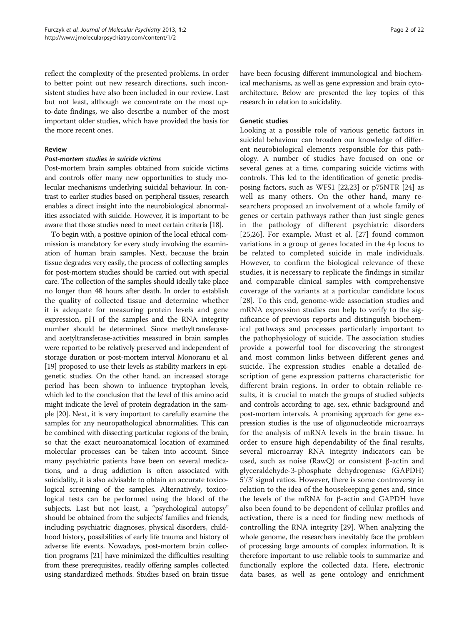reflect the complexity of the presented problems. In order to better point out new research directions, such inconsistent studies have also been included in our review. Last but not least, although we concentrate on the most upto-date findings, we also describe a number of the most important older studies, which have provided the basis for the more recent ones.

#### Review

# Post-mortem studies in suicide victims

Post-mortem brain samples obtained from suicide victims and controls offer many new opportunities to study molecular mechanisms underlying suicidal behaviour. In contrast to earlier studies based on peripheral tissues, research enables a direct insight into the neurobiological abnormalities associated with suicide. However, it is important to be aware that those studies need to meet certain criteria [\[18\]](#page-17-0).

To begin with, a positive opinion of the local ethical commission is mandatory for every study involving the examination of human brain samples. Next, because the brain tissue degrades very easily, the process of collecting samples for post-mortem studies should be carried out with special care. The collection of the samples should ideally take place no longer than 48 hours after death. In order to establish the quality of collected tissue and determine whether it is adequate for measuring protein levels and gene expression, pH of the samples and the RNA integrity number should be determined. Since methyltransferaseand acetyltransferase-activities measured in brain samples were reported to be relatively preserved and independent of storage duration or post-mortem interval Monoranu et al. [[19](#page-17-0)] proposed to use their levels as stability markers in epigenetic studies. On the other hand, an increased storage period has been shown to influence tryptophan levels, which led to the conclusion that the level of this amino acid might indicate the level of protein degradation in the sample [\[20\]](#page-17-0). Next, it is very important to carefully examine the samples for any neuropathological abnormalities. This can be combined with dissecting particular regions of the brain, so that the exact neuroanatomical location of examined molecular processes can be taken into account. Since many psychiatric patients have been on several medications, and a drug addiction is often associated with suicidality, it is also advisable to obtain an accurate toxicological screening of the samples. Alternatively, toxicological tests can be performed using the blood of the subjects. Last but not least, a "psychological autopsy" should be obtained from the subjects' families and friends, including psychiatric diagnoses, physical disorders, childhood history, possibilities of early life trauma and history of adverse life events. Nowadays, post-mortem brain collection programs [\[21\]](#page-17-0) have minimized the difficulties resulting from these prerequisites, readily offering samples collected using standardized methods. Studies based on brain tissue have been focusing different immunological and biochemical mechanisms, as well as gene expression and brain cytoarchitecture. Below are presented the key topics of this research in relation to suicidality.

#### Genetic studies

Looking at a possible role of various genetic factors in suicidal behaviour can broaden our knowledge of different neurobiological elements responsible for this pathology. A number of studies have focused on one or several genes at a time, comparing suicide victims with controls. This led to the identification of genetic predisposing factors, such as WFS1 [\[22,23](#page-17-0)] or p75NTR [[24\]](#page-17-0) as well as many others. On the other hand, many researchers proposed an involvement of a whole family of genes or certain pathways rather than just single genes in the pathology of different psychiatric disorders [[25,26](#page-17-0)]. For example, Must et al. [\[27](#page-17-0)] found common variations in a group of genes located in the 4p locus to be related to completed suicide in male individuals. However, to confirm the biological relevance of these studies, it is necessary to replicate the findings in similar and comparable clinical samples with comprehensive coverage of the variants at a particular candidate locus [[28](#page-17-0)]. To this end, genome-wide association studies and mRNA expression studies can help to verify to the significance of previous reports and distinguish biochemical pathways and processes particularly important to the pathophysiology of suicide. The association studies provide a powerful tool for discovering the strongest and most common links between different genes and suicide. The expression studies enable a detailed description of gene expression patterns characteristic for different brain regions. In order to obtain reliable results, it is crucial to match the groups of studied subjects and controls according to age, sex, ethnic background and post-mortem intervals. A promising approach for gene expression studies is the use of oligonucleotide microarrays for the analysis of mRNA levels in the brain tissue. In order to ensure high dependability of the final results, several microarray RNA integrity indicators can be used, such as noise (RawQ) or consistent β-actin and glyceraldehyde-3-phosphate dehydrogenase (GAPDH) 5'/3' signal ratios. However, there is some controversy in relation to the idea of the housekeeping genes and, since the levels of the mRNA for β-actin and GAPDH have also been found to be dependent of cellular profiles and activation, there is a need for finding new methods of controlling the RNA integrity [[29\]](#page-17-0). When analyzing the whole genome, the researchers inevitably face the problem of processing large amounts of complex information. It is therefore important to use reliable tools to summarize and functionally explore the collected data. Here, electronic data bases, as well as gene ontology and enrichment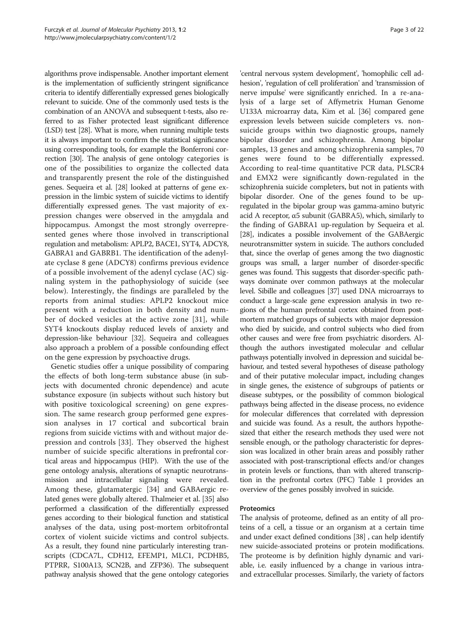algorithms prove indispensable. Another important element is the implementation of sufficiently stringent significance criteria to identify differentially expressed genes biologically relevant to suicide. One of the commonly used tests is the combination of an ANOVA and subsequent t-tests, also referred to as Fisher protected least significant difference (LSD) test [[28\]](#page-17-0). What is more, when running multiple tests it is always important to confirm the statistical significance using corresponding tools, for example the Bonferroni correction [[30](#page-17-0)]. The analysis of gene ontology categories is one of the possibilities to organize the collected data and transparently present the role of the distinguished genes. Sequeira et al. [[28](#page-17-0)] looked at patterns of gene expression in the limbic system of suicide victims to identify differentially expressed genes. The vast majority of expression changes were observed in the amygdala and hippocampus. Amongst the most strongly overrepresented genes where those involved in transcriptional regulation and metabolism: APLP2, BACE1, SYT4, ADCY8, GABRA1 and GABRB1. The identification of the adenylate cyclase 8 gene (ADCY8) confirms previous evidence of a possible involvement of the adenyl cyclase (AC) signaling system in the pathophysiology of suicide (see below). Interestingly, the findings are paralleled by the reports from animal studies: APLP2 knockout mice present with a reduction in both density and number of docked vesicles at the active zone [[31\]](#page-17-0), while SYT4 knockouts display reduced levels of anxiety and depression-like behaviour [\[32\]](#page-17-0). Sequeira and colleagues also approach a problem of a possible confounding effect on the gene expression by psychoactive drugs.

Genetic studies offer a unique possibility of comparing the effects of both long-term substance abuse (in subjects with documented chronic dependence) and acute substance exposure (in subjects without such history but with positive toxicological screening) on gene expression. The same research group performed gene expression analyses in 17 cortical and subcortical brain regions from suicide victims with and without major depression and controls [[33\]](#page-17-0). They observed the highest number of suicide specific alterations in prefrontal cortical areas and hippocampus (HIP). With the use of the gene ontology analysis, alterations of synaptic neurotransmission and intracellular signaling were revealed. Among these, glutamatergic [[34\]](#page-17-0) and GABAergic related genes were globally altered. Thalmeier et al. [[35](#page-17-0)] also performed a classification of the differentially expressed genes according to their biological function and statistical analyses of the data, using post-mortem orbitofrontal cortex of violent suicide victims and control subjects. As a result, they found nine particularly interesting transcripts (CDCA7L, CDH12, EFEMP1, MLC1, PCDHB5, PTPRR, S100A13, SCN2B, and ZFP36). The subsequent pathway analysis showed that the gene ontology categories

'central nervous system development', 'homophilic cell adhesion', 'regulation of cell proliferation' and 'transmission of nerve impulse' were significantly enriched. In a re-analysis of a large set of Affymetrix Human Genome U133A microarray data, Kim et al. [[36](#page-17-0)] compared gene expression levels between suicide completers vs. nonsuicide groups within two diagnostic groups, namely bipolar disorder and schizophrenia. Among bipolar samples, 13 genes and among schizophrenia samples, 70 genes were found to be differentially expressed. According to real-time quantitative PCR data, PLSCR4 and EMX2 were significantly down-regulated in the schizophrenia suicide completers, but not in patients with bipolar disorder. One of the genes found to be upregulated in the bipolar group was gamma-amino butyric acid A receptor, α5 subunit (GABRA5), which, similarly to the finding of GABRA1 up-regulation by Sequeira et al. [[28](#page-17-0)], indicates a possible involvement of the GABAergic neurotransmitter system in suicide. The authors concluded that, since the overlap of genes among the two diagnostic groups was small, a larger number of disorder-specific genes was found. This suggests that disorder-specific pathways dominate over common pathways at the molecular level. Sibille and colleagues [\[37](#page-17-0)] used DNA microarrays to conduct a large-scale gene expression analysis in two regions of the human prefrontal cortex obtained from postmortem matched groups of subjects with major depression who died by suicide, and control subjects who died from other causes and were free from psychiatric disorders. Although the authors investigated molecular and cellular pathways potentially involved in depression and suicidal behaviour, and tested several hypotheses of disease pathology and of their putative molecular impact, including changes in single genes, the existence of subgroups of patients or disease subtypes, or the possibility of common biological pathways being affected in the disease process, no evidence for molecular differences that correlated with depression and suicide was found. As a result, the authors hypothesized that either the research methods they used were not sensible enough, or the pathology characteristic for depression was localized in other brain areas and possibly rather associated with post-transcriptional effects and/or changes in protein levels or functions, than with altered transcription in the prefrontal cortex (PFC) Table [1](#page-3-0) provides an overview of the genes possibly involved in suicide.

# **Proteomics**

The analysis of proteome, defined as an entity of all proteins of a cell, a tissue or an organism at a certain time and under exact defined conditions [[38](#page-17-0)] , can help identify new suicide-associated proteins or protein modifications. The proteome is by definition highly dynamic and variable, i.e. easily influenced by a change in various intraand extracellular processes. Similarly, the variety of factors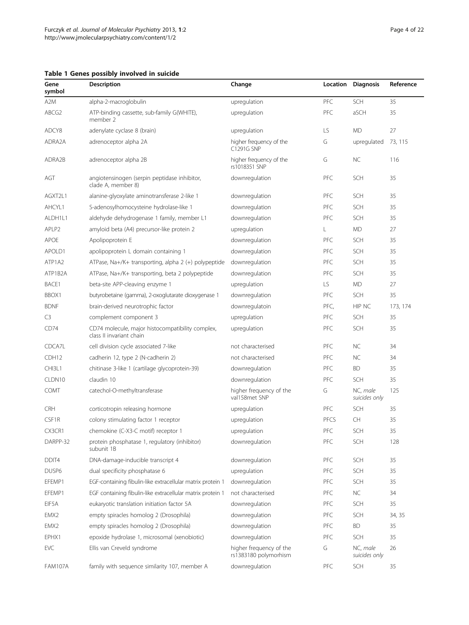# <span id="page-3-0"></span>Table 1 Genes possibly involved in suicide

| Gene<br>symbol   | Description                                                                  | Change                                           |            | Location Diagnosis        | Reference |
|------------------|------------------------------------------------------------------------------|--------------------------------------------------|------------|---------------------------|-----------|
| A <sub>2</sub> M | alpha-2-macroglobulin                                                        | upregulation                                     | PFC        | SCH                       | 35        |
| ABCG2            | ATP-binding cassette, sub-family G(WHITE),<br>member 2                       | upregulation                                     | PFC        | aSCH                      | 35        |
| ADCY8            | adenylate cyclase 8 (brain)                                                  | upregulation                                     | <b>LS</b>  | <b>MD</b>                 | 27        |
| ADRA2A           | adrenoceptor alpha 2A                                                        | higher frequency of the<br>C1291G SNP            | G          | upregulated               | 73, 115   |
| ADRA2B           | adrenoceptor alpha 2B                                                        | higher frequency of the<br>rs1018351 SNP         | G          | <b>NC</b>                 | 116       |
| AGT              | angiotensinogen (serpin peptidase inhibitor,<br>clade A, member 8)           | downregulation                                   | PFC        | SCH                       | 35        |
| AGXT2L1          | alanine-glyoxylate aminotransferase 2-like 1                                 | downregulation                                   | PFC        | SCH                       | 35        |
| AHCYL1           | S-adenosylhomocysteine hydrolase-like 1                                      | downregulation                                   | PFC        | SCH                       | 35        |
| ALDH1L1          | aldehyde dehydrogenase 1 family, member L1                                   | downregulation                                   | PFC        | <b>SCH</b>                | 35        |
| APLP2            | amyloid beta (A4) precursor-like protein 2                                   | upregulation                                     | L          | <b>MD</b>                 | 27        |
| <b>APOE</b>      | Apolipoprotein E                                                             | downregulation                                   | PFC        | SCH                       | 35        |
| APOLD1           | apolipoprotein L domain containing 1                                         | downregulation                                   | PFC        | SCH                       | 35        |
| ATP1A2           | ATPase, Na+/K+ transporting, alpha 2 (+) polypeptide                         | downregulation                                   | PFC        | SCH                       | 35        |
| ATP1B2A          | ATPase, Na+/K+ transporting, beta 2 polypeptide                              | downregulation                                   | <b>PFC</b> | SCH                       | 35        |
| BACE1            | beta-site APP-cleaving enzyme 1                                              | upregulation                                     | LS.        | <b>MD</b>                 | 27        |
| BBOX1            | butyrobetaine (gamma), 2-oxoglutarate dioxygenase 1                          | downregulation                                   | PFC        | SCH                       | 35        |
| <b>BDNF</b>      | brain-derived neurotrophic factor                                            | downregulatoin                                   | PFC,       | HIP NC                    | 173, 174  |
| C <sub>3</sub>   | complement component 3                                                       | upregulation                                     | PFC        | SCH                       | 35        |
| CD74             | CD74 molecule, major histocompatibility complex,<br>class II invariant chain | upregulation                                     | PFC        | SCH                       | 35        |
| CDCA7L           | cell division cycle associated 7-like                                        | not characterised                                | PFC        | <b>NC</b>                 | 34        |
| CDH12            | cadherin 12, type 2 (N-cadherin 2)                                           | not characterised                                | PFC        | <b>NC</b>                 | 34        |
| CHI3L1           | chitinase 3-like 1 (cartilage glycoprotein-39)                               | downregulation                                   | PFC        | <b>BD</b>                 | 35        |
| CLDN10           | claudin 10                                                                   | downregulation                                   | PFC        | <b>SCH</b>                | 35        |
| <b>COMT</b>      | catechol-O-methyltransferase                                                 | higher frequency of the<br>val158met SNP         | G          | NC, male<br>suicides only | 125       |
| CRH              | corticotropin releasing hormone                                              | upregulation                                     | PFC        | SCH                       | 35        |
| CSF1R            | colony stimulating factor 1 receptor                                         | upregulation                                     | PFCS       | CH                        | 35        |
| CX3CR1           | chemokine (C-X3-C motif) receptor 1                                          | upregulation                                     | PFC        | SCH                       | 35        |
| DARPP-32         | protein phosphatase 1, regulatory (inhibitor)<br>subunit 1B                  | downregulation                                   | PFC        | SCH                       | 128       |
| DDIT4            | DNA-damage-inducible transcript 4                                            | downregulation                                   | PFC        | SCH                       | 35        |
| DUSP6            | dual specificity phosphatase 6                                               | upregulation                                     | PFC        | SCH                       | 35        |
| EFEMP1           | EGF-containing fibulin-like extracellular matrix protein 1                   | downregulation                                   | PFC        | SCH                       | 35        |
| EFEMP1           | EGF containing fibulin-like extracellular matrix protein 1                   | not characterised                                | PFC        | NC                        | 34        |
| EIF5A            | eukaryotic translation initiation factor 5A                                  | downregulation                                   | PFC        | SCH                       | 35        |
| EMX <sub>2</sub> | empty spiracles homolog 2 (Drosophila)                                       | downregulation                                   | PFC        | SCH                       | 34, 35    |
| EMX <sub>2</sub> | empty spiracles homolog 2 (Drosophila)                                       | downregulation                                   | PFC        | <b>BD</b>                 | 35        |
| EPHX1            | epoxide hydrolase 1, microsomal (xenobiotic)                                 | downregulation                                   | PFC        | SCH                       | 35        |
| EVC              | Ellis van Creveld syndrome                                                   | higher frequency of the<br>rs1383180 polymorhism | G          | NC, male<br>suicides only | 26        |
| FAM107A          | family with sequence similarity 107, member A                                | downregulation                                   | PFC        | SCH                       | 35        |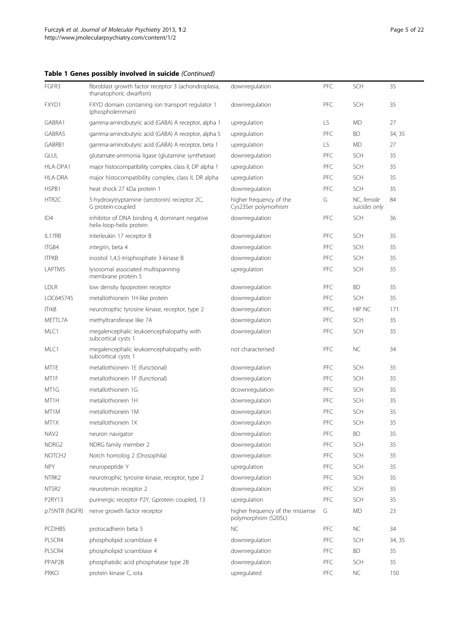# Table 1 Genes possibly involved in suicide (Continued)

| FGFR3              | fibroblast growth factor receptor 3 (achondroplasia,<br>thanatophoric dwarfism) | downregulation                                           | PFC  | SCH                         | 35     |
|--------------------|---------------------------------------------------------------------------------|----------------------------------------------------------|------|-----------------------------|--------|
| FXYD1              | FXYD domain containing ion transport regulator 1<br>(phospholemman)             | downregulation                                           | PFC  | SCH                         | 35     |
| GABRA1             | gamma-aminobutyric acid (GABA) A receptor, alpha 1                              | upregulation                                             | LS   | MD                          | 27     |
| GABRA5             | gamma-aminobutyric acid (GABA) A receptor, alpha 5                              | upregulation                                             | PFC  | <b>BD</b>                   | 34.35  |
| GABRB1             | gamma-aminobutyric acid (GABA) A receptor, beta 1                               | upregulation                                             | LS   | MD                          | 27     |
| <b>GLUL</b>        | glutamate-ammonia ligase (glutamine synthetase)                                 | downregulation                                           | PFC  | SCH                         | 35     |
| HLA-DPA1           | major histocompatibility complex, class II, DP alpha 1                          | upregulation                                             | PFC  | <b>SCH</b>                  | 35     |
| <b>HLA-DRA</b>     | major histocompatibility complex, class II, DR alpha                            | upregulation                                             | PFC  | SCH                         | 35     |
| HSPB1              | heat shock 27 kDa protein 1                                                     | downregulation                                           | PFC  | SCH                         | 35     |
| HTR <sub>2</sub> C | 5-hydroxytryptamine (serotonin) receptor 2C,<br>G protein-coupled               | higher frequency of the<br>Cys23Ser polymorhism          | G    | NC, female<br>suicides only | 84     |
| ID <sub>4</sub>    | inhibitor of DNA binding 4, dominant negative<br>helix-loop-helix protein       | downregulation                                           | PFC  | SCH                         | 36     |
| IL17RB             | interleukin 17 receptor B                                                       | downregulation                                           | PFC  | SCH                         | 35     |
| ITGB4              | integrin, beta 4                                                                | downregulation                                           | PFC  | <b>SCH</b>                  | 35     |
| <b>ITPKB</b>       | inositol 1,4,5-trisphosphate 3-kinase B                                         | downregulation                                           | PFC  | SCH                         | 35     |
| LAPTM5             | lysosomal associated multispanning<br>membrane protein 5                        | upregulation                                             | PFC  | SCH                         | 35     |
| <b>LDLR</b>        | low density lipoprotein receptor                                                | downregulation                                           | PFC  | <b>BD</b>                   | 35     |
| LOC645745          | metallothionein 1H-like protein                                                 | downregulation                                           | PFC  | SCH                         | 35     |
| <b>ITrkB</b>       | neurotrophic tyrosine kinase, receptor, type 2                                  | downregulation                                           | PFC, | HIP NC                      | 171    |
| METTL7A            | methyltransferase like 7A                                                       | downregulation                                           | PFC  | SCH                         | 35     |
| MLC1               | megalencephalic leukoencephalopathy with<br>subcortical cysts 1                 | downregulation                                           | PFC  | SCH                         | 35     |
| MLC1               | megalencephalic leukoencephalopathy with<br>subcortical cysts 1                 | not characterised                                        | PFC  | <b>NC</b>                   | 34     |
| MT1E               | metallothionein 1E (functional)                                                 | downregulation                                           | PFC  | <b>SCH</b>                  | 35     |
| MT1F               | metallothionein 1F (functional)                                                 | downregulation                                           | PFC  | <b>SCH</b>                  | 35     |
| MT1G               | metallothionein 1G                                                              | dcownregulation                                          | PFC  | SCH                         | 35     |
| MT1H               | metallothionein 1H                                                              | downregulation                                           | PFC  | SCH                         | 35     |
| MT1M               | metallothionein 1M                                                              | downregulation                                           | PFC  | <b>SCH</b>                  | 35     |
| MT1X               | metallothionein 1X                                                              | downregulation                                           | PFC  | SCH                         | 35     |
| NAV <sub>2</sub>   | neuron navigator                                                                | downregulation                                           | PFC  | <b>BD</b>                   | 35     |
| NDRG2              | NDRG family member 2                                                            | downregulation                                           | PFC  | SCH                         | 35     |
| NOTCH <sub>2</sub> | Notch homolog 2 (Drosophila)                                                    | downregulation                                           | PFC  | SCH                         | 35     |
| NPY                | neuropeptide Y                                                                  | upregulation                                             | PFC  | SCH                         | 35     |
| NTRK2              | neurotrophic tyrosine kinase, receptor, type 2                                  | downregulation                                           | PFC  | SCH                         | 35     |
| NTSR <sub>2</sub>  | neurotensin receptor 2                                                          | downregulation                                           | PFC  | SCH                         | 35     |
| P2RY13             | purinergic receptor P2Y, Gprotein coupled, 13                                   | upregulation                                             | PFC  | SCH                         | 35     |
| p75NTR (NGFR)      | nerve growth factor receptor                                                    | higher frequency of the missense<br>polymorphism (S205L) | G    | <b>MD</b>                   | 23     |
| PCDHB5             | protocadherin beta 5                                                            | <b>NC</b>                                                | PFC  | NC                          | 34     |
| PLSCR4             | phospholipid scramblase 4                                                       | downregulation                                           | PFC  | SCH                         | 34, 35 |
| PLSCR4             | phospholipid scramblase 4                                                       | downregulation                                           | PFC  | <b>BD</b>                   | 35     |
| PPAP2B             | phosphatidic acid phosphatase type 2B                                           | downregulation                                           | PFC  | SCH                         | 35     |
| <b>PRKCI</b>       | protein kinase C, iota                                                          | upregulated                                              | PFC  | NC                          | 150    |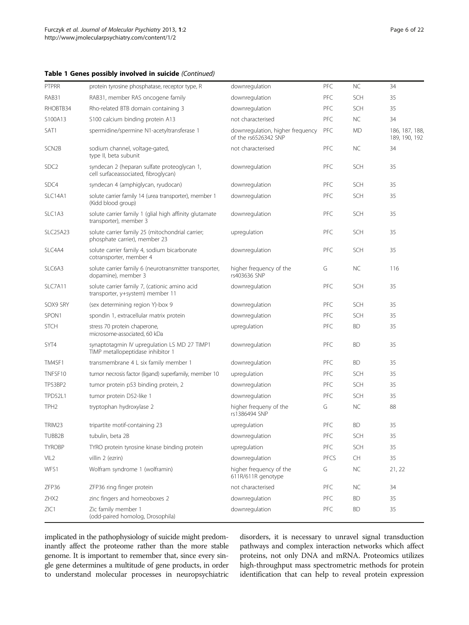### Table 1 Genes possibly involved in suicide (Continued)

| PTPRR              | protein tyrosine phosphatase, receptor type, R                                      | downregulation                                           | PFC  | <b>NC</b>  | 34                              |
|--------------------|-------------------------------------------------------------------------------------|----------------------------------------------------------|------|------------|---------------------------------|
| RAB31              | RAB31, member RAS oncogene family                                                   | downregulation                                           | PFC  | SCH        | 35                              |
| RHOBTB34           | Rho-related BTB domain containing 3                                                 | downregulation                                           | PFC  | SCH        | 35                              |
| S100A13            | S100 calcium binding protein A13                                                    | not characterised                                        | PFC  | <b>NC</b>  | 34                              |
| SAT1               | spermidine/spermine N1-acetyltransferase 1                                          | downregulation, higher freguency<br>of the rs6526342 SNP | PFC  | <b>MD</b>  | 186, 187, 188,<br>189, 190, 192 |
| SCN <sub>2</sub> B | sodium channel, voltage-gated,<br>type II, beta subunit                             | not characterised                                        | PFC  | <b>NC</b>  | 34                              |
| SDC <sub>2</sub>   | syndecan 2 (heparan sulfate proteoglycan 1,<br>cell surfaceassociated, fibroglycan) | downregulation                                           | PFC  | SCH        | 35                              |
| SDC4               | syndecan 4 (amphiglycan, ryudocan)                                                  | downregulation                                           | PFC  | SCH        | 35                              |
| SLC14A1            | solute carrier family 14 (urea transporter), member 1<br>(Kidd blood group)         | downregulation                                           | PFC  | SCH        | 35                              |
| SLC1A3             | solute carrier family 1 (glial high affinity glutamate<br>transporter), member 3    | downregulation                                           | PFC  | SCH        | 35                              |
| <b>SLC25A23</b>    | solute carrier family 25 (mitochondrial carrier;<br>phosphate carrier), member 23   | upregulation                                             | PFC  | SCH        | 35                              |
| SLC4A4             | solute carrier family 4, sodium bicarbonate<br>cotransporter, member 4              | downregulation                                           | PFC  | SCH        | 35                              |
| SLC6A3             | solute carrier family 6 (neurotransmitter transporter,<br>dopamine), member 3       | higher frequency of the<br>rs403636 SNP                  | G    | <b>NC</b>  | 116                             |
| SLC7A11            | solute carrier family 7, (cationic amino acid<br>transporter, y+system) member 11   | downregulation                                           | PFC  | SCH        | 35                              |
| SOX9 SRY           | (sex determining region Y)-box 9                                                    | downregulation                                           | PFC  | SCH        | 35                              |
| SPON1              | spondin 1, extracellular matrix protein                                             | downregulation                                           | PFC  | SCH        | 35                              |
| <b>STCH</b>        | stress 70 protein chaperone,<br>microsome-associated, 60 kDa                        | upregulation                                             | PFC  | <b>BD</b>  | 35                              |
| SYT4               | synaptotagmin IV upregulation LS MD 27 TIMP1<br>TIMP metallopeptidase inhibitor 1   | downregulation                                           | PFC  | <b>BD</b>  | 35                              |
| TM4SF1             | transmembrane 4 L six family member 1                                               | downregulation                                           | PFC  | <b>BD</b>  | 35                              |
| TNFSF10            | tumor necrosis factor (ligand) superfamily, member 10                               | upregulation                                             | PFC  | <b>SCH</b> | 35                              |
| TP53BP2            | tumor protein p53 binding protein, 2                                                | downregulation                                           | PFC  | SCH        | 35                              |
| TPD52L1            | tumor protein D52-like 1                                                            | downregulation                                           | PFC  | SCH        | 35                              |
| TPH <sub>2</sub>   | tryptophan hydroxylase 2                                                            | higher fregueny of the<br>rs1386494 SNP                  | G    | <b>NC</b>  | 88                              |
| TRIM23             | tripartite motif-containing 23                                                      | upregulation                                             | PFC  | <b>BD</b>  | 35                              |
| TUBB2B             | tubulin, beta 2B                                                                    | downregulation                                           | PFC  | SCH        | 35                              |
| <b>TYROBP</b>      | TYRO protein tyrosine kinase binding protein                                        | upregulation                                             | PFC  | SCH        | 35                              |
| VIL <sub>2</sub>   | villin 2 (ezrin)                                                                    | downregulation                                           | PFCS | CH.        | 35                              |
| WFS1               | Wolfram syndrome 1 (wolframin)                                                      | higher frequency of the<br>611R/611R genotype            | G    | <b>NC</b>  | 21, 22                          |
| ZFP36              | ZFP36 ring finger protein                                                           | not characterised                                        | PFC  | <b>NC</b>  | 34                              |
| ZHX2               | zinc fingers and homeoboxes 2                                                       | downregulation                                           | PFC  | <b>BD</b>  | 35                              |
| ZIC1               | Zic family member 1<br>(odd-paired homolog, Drosophila)                             | downregulation                                           | PFC  | <b>BD</b>  | 35                              |

implicated in the pathophysiology of suicide might predominantly affect the proteome rather than the more stable genome. It is important to remember that, since every single gene determines a multitude of gene products, in order to understand molecular processes in neuropsychiatric

disorders, it is necessary to unravel signal transduction pathways and complex interaction networks which affect proteins, not only DNA and mRNA. Proteomics utilizes high-throughput mass spectrometric methods for protein identification that can help to reveal protein expression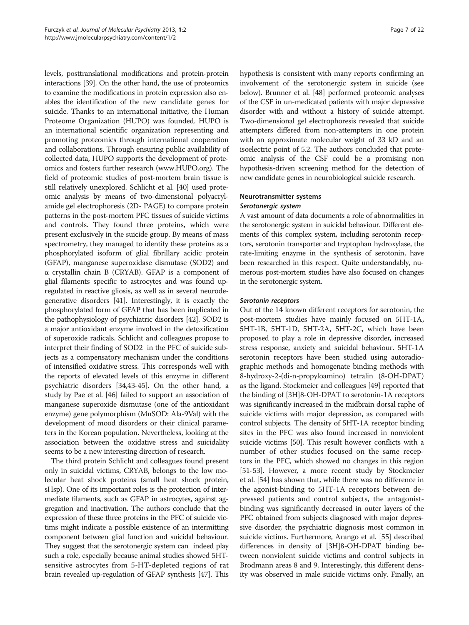levels, posttranslational modifications and protein-protein interactions [\[39\]](#page-17-0). On the other hand, the use of proteomics to examine the modifications in protein expression also enables the identification of the new candidate genes for suicide. Thanks to an international initiative, the Human Proteome Organization (HUPO) was founded. HUPO is an international scientific organization representing and promoting proteomics through international cooperation and collaborations. Through ensuring public availability of collected data, HUPO supports the development of proteomics and fosters further research [\(www.HUPO.org](http://www.HUPO.org)). The field of proteomic studies of post-mortem brain tissue is still relatively unexplored. Schlicht et al. [\[40](#page-17-0)] used proteomic analysis by means of two-dimensional polyacrylamide gel electrophoresis (2D- PAGE) to compare protein patterns in the post-mortem PFC tissues of suicide victims and controls. They found three proteins, which were present exclusively in the suicide group. By means of mass spectrometry, they managed to identify these proteins as a phosphorylated isoform of glial fibrillary acidic protein (GFAP), manganese superoxidase dismutase (SOD2) and α crystallin chain B (CRYAB). GFAP is a component of glial filaments specific to astrocytes and was found upregulated in reactive gliosis, as well as in several neurodegenerative disorders [\[41\]](#page-17-0). Interestingly, it is exactly the phosphorylated form of GFAP that has been implicated in the pathophysiology of psychiatric disorders [\[42\]](#page-17-0). SOD2 is a major antioxidant enzyme involved in the detoxification of superoxide radicals. Schlicht and colleagues propose to interpret their finding of SOD2 in the PFC of suicide subjects as a compensatory mechanism under the conditions of intensified oxidative stress. This corresponds well with the reports of elevated levels of this enzyme in different psychiatric disorders [\[34,43-45\]](#page-17-0). On the other hand, a study by Pae et al. [\[46](#page-17-0)] failed to support an association of manganese superoxide dismutase (one of the antioxidant enzyme) gene polymorphism (MnSOD: Ala-9Val) with the development of mood disorders or their clinical parameters in the Korean population. Nevertheless, looking at the association between the oxidative stress and suicidality seems to be a new interesting direction of research.

The third protein Schlicht and colleagues found present only in suicidal victims, CRYAB, belongs to the low molecular heat shock proteins (small heat shock protein, sHsp). One of its important roles is the protection of intermediate filaments, such as GFAP in astrocytes, against aggregation and inactivation. The authors conclude that the expression of these three proteins in the PFC of suicide victims might indicate a possible existence of an intermitting component between glial function and suicidal behaviour. They suggest that the serotonergic system can indeed play such a role, especially because animal studies showed 5HTsensitive astrocytes from 5-HT-depleted regions of rat brain revealed up-regulation of GFAP synthesis [[47](#page-17-0)]. This hypothesis is consistent with many reports confirming an involvement of the serotonergic system in suicide (see below). Brunner et al. [\[48\]](#page-17-0) performed proteomic analyses of the CSF in un-medicated patients with major depressive disorder with and without a history of suicide attempt. Two-dimensional gel electrophoresis revealed that suicide attempters differed from non-attempters in one protein with an approximate molecular weight of 33 kD and an isoelectric point of 5.2. The authors concluded that proteomic analysis of the CSF could be a promising non hypothesis-driven screening method for the detection of new candidate genes in neurobiological suicide research.

# Neurotransmitter systems Serotonergic system

A vast amount of data documents a role of abnormalities in the serotonergic system in suicidal behaviour. Different elements of this complex system, including serotonin receptors, serotonin transporter and tryptophan hydroxylase, the rate-limiting enzyme in the synthesis of serotonin, have been researched in this respect. Quite understandably, numerous post-mortem studies have also focused on changes in the serotonergic system.

# Serotonin receptors

Out of the 14 known different receptors for serotonin, the post-mortem studies have mainly focused on 5HT-1A, 5HT-1B, 5HT-1D, 5HT-2A, 5HT-2C, which have been proposed to play a role in depressive disorder, increased stress response, anxiety and suicidal behaviour. 5HT-1A serotonin receptors have been studied using autoradiographic methods and homogenate binding methods with 8-hydroxy-2-(di-n-propyloamino) tetralin (8-OH-DPAT) as the ligand. Stockmeier and colleagues [[49](#page-17-0)] reported that the binding of [3H]8-OH-DPAT to serotonin-1A receptors was significantly increased in the midbrain dorsal raphe of suicide victims with major depression, as compared with control subjects. The density of 5HT-1A receptor binding sites in the PFC was also found increased in nonviolent suicide victims [[50](#page-17-0)]. This result however conflicts with a number of other studies focused on the same receptors in the PFC, which showed no changes in this region [[51](#page-17-0)-[53\]](#page-17-0). However, a more recent study by Stockmeier et al. [[54](#page-17-0)] has shown that, while there was no difference in the agonist-binding to 5HT-1A receptors between depressed patients and control subjects, the antagonistbinding was significantly decreased in outer layers of the PFC obtained from subjects diagnosed with major depressive disorder, the psychiatric diagnosis most common in suicide victims. Furthermore, Arango et al. [[55](#page-18-0)] described differences in density of [3H]8-OH-DPAT binding between nonviolent suicide victims and control subjects in Brodmann areas 8 and 9. Interestingly, this different density was observed in male suicide victims only. Finally, an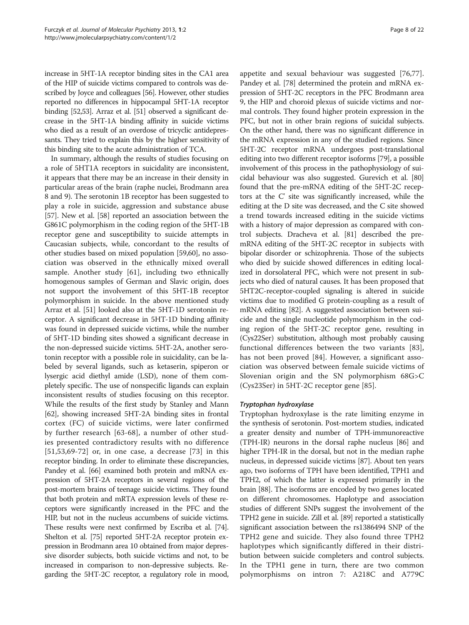increase in 5HT-1A receptor binding sites in the CA1 area of the HIP of suicide victims compared to controls was described by Joyce and colleagues [\[56\]](#page-18-0). However, other studies reported no differences in hippocampal 5HT-1A receptor binding [[52,53\]](#page-17-0). Arraz et al. [\[51](#page-17-0)] observed a significant decrease in the 5HT-1A binding affinity in suicide victims who died as a result of an overdose of tricyclic antidepressants. They tried to explain this by the higher sensitivity of this binding site to the acute administration of TCA.

In summary, although the results of studies focusing on a role of 5HT1A receptors in suicidality are inconsistent, it appears that there may be an increase in their density in particular areas of the brain (raphe nuclei, Brodmann area 8 and 9). The serotonin 1B receptor has been suggested to play a role in suicide, aggression and substance abuse [[57](#page-18-0)]. New et al. [[58](#page-18-0)] reported an association between the G861C polymorphism in the coding region of the 5HT-1B receptor gene and susceptibility to suicide attempts in Caucasian subjects, while, concordant to the results of other studies based on mixed population [\[59,60\]](#page-18-0), no association was observed in the ethnically mixed overall sample. Another study [[61\]](#page-18-0), including two ethnically homogenous samples of German and Slavic origin, does not support the involvement of this 5HT-1B receptor polymorphism in suicide. In the above mentioned study Arraz et al. [[51](#page-17-0)] looked also at the 5HT-1D serotonin receptor. A significant decrease in 5HT-1D binding affinity was found in depressed suicide victims, while the number of 5HT-1D binding sites showed a significant decrease in the non-depressed suicide victims. 5HT-2A, another serotonin receptor with a possible role in suicidality, can be labeled by several ligands, such as ketaserin, spiperon or lysergic acid diethyl amide (LSD), none of them completely specific. The use of nonspecific ligands can explain inconsistent results of studies focusing on this receptor. While the results of the first study by Stanley and Mann [[62](#page-18-0)], showing increased 5HT-2A binding sites in frontal cortex (FC) of suicide victims, were later confirmed by further research [\[63-68](#page-18-0)], a number of other studies presented contradictory results with no difference  $[51,53,69-72]$  $[51,53,69-72]$  $[51,53,69-72]$  $[51,53,69-72]$  $[51,53,69-72]$  $[51,53,69-72]$  $[51,53,69-72]$  $[51,53,69-72]$  or, in one case, a decrease  $[73]$  $[73]$  $[73]$  in this receptor binding. In order to eliminate these discrepancies, Pandey et al. [[66](#page-18-0)] examined both protein and mRNA expression of 5HT-2A receptors in several regions of the post-mortem brains of teenage suicide victims. They found that both protein and mRTA expression levels of these receptors were significantly increased in the PFC and the HIP, but not in the nucleus accumbens of suicide victims. These results were next confirmed by Escriba et al. [\[74](#page-18-0)]. Shelton et al. [[75](#page-18-0)] reported 5HT-2A receptor protein expression in Brodmann area 10 obtained from major depressive disorder subjects, both suicide victims and not, to be increased in comparison to non-depressive subjects. Regarding the 5HT-2C receptor, a regulatory role in mood,

appetite and sexual behaviour was suggested [[76,77](#page-18-0)]. Pandey et al. [[78\]](#page-18-0) determined the protein and mRNA expression of 5HT-2C receptors in the PFC Brodmann area 9, the HIP and choroid plexus of suicide victims and normal controls. They found higher protein expression in the PFC, but not in other brain regions of suicidal subjects. On the other hand, there was no significant difference in the mRNA expression in any of the studied regions. Since 5HT-2C receptor mRNA undergoes post-translational editing into two different receptor isoforms [[79](#page-18-0)], a possible involvement of this process in the pathophysiology of suicidal behaviour was also suggested. Gurevich et al. [[80](#page-18-0)] found that the pre-mRNA editing of the 5HT-2C receptors at the C' site was significantly increased, while the editing at the D site was decreased, and the C site showed a trend towards increased editing in the suicide victims with a history of major depression as compared with control subjects. Dracheva et al. [\[81\]](#page-18-0) described the premRNA editing of the 5HT-2C receptor in subjects with bipolar disorder or schizophrenia. Those of the subjects who died by suicide showed differences in editing localized in dorsolateral PFC, which were not present in subjects who died of natural causes. It has been proposed that 5HT2C-receptor-coupled signaling is altered in suicide victims due to modified G protein-coupling as a result of mRNA editing [\[82\]](#page-18-0). A suggested association between suicide and the single nucleotide polymorphism in the coding region of the 5HT-2C receptor gene, resulting in (Cys22Ser) substitution, although most probably causing functional differences between the two variants [\[83](#page-18-0)], has not been proved [[84\]](#page-18-0). However, a significant association was observed between female suicide victims of Slovenian origin and the SN polymorphism 68G>C (Cys23Ser) in 5HT-2C receptor gene [[85\]](#page-18-0).

# Tryptophan hydroxylase

Tryptophan hydroxylase is the rate limiting enzyme in the synthesis of serotonin. Post-mortem studies, indicated a greater density and number of TPH-immunoreactive (TPH-IR) neurons in the dorsal raphe nucleus [[86](#page-18-0)] and higher TPH-IR in the dorsal, but not in the median raphe nucleus, in depressed suicide victims [\[87](#page-18-0)]. About ten years ago, two isoforms of TPH have been identified, TPH1 and TPH2, of which the latter is expressed primarily in the brain [\[88\]](#page-18-0). The isoforms are encoded by two genes located on different chromosomes. Haplotype and association studies of different SNPs suggest the involvement of the TPH2 gene in suicide. Zill et al. [[89](#page-18-0)] reported a statistically significant association between the rs1386494 SNP of the TPH2 gene and suicide. They also found three TPH2 haplotypes which significantly differed in their distribution between suicide completers and control subjects. In the TPH1 gene in turn, there are two common polymorphisms on intron 7: A218C and A779C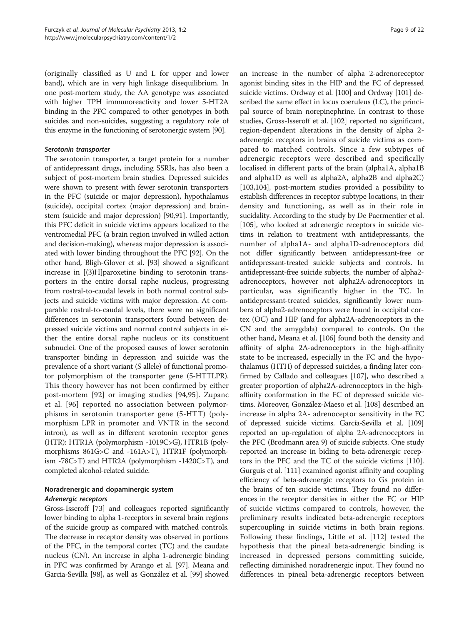(originally classified as U and L for upper and lower band), which are in very high linkage disequilibrium. In one post-mortem study, the AA genotype was associated with higher TPH immunoreactivity and lower 5-HT2A binding in the PFC compared to other genotypes in both suicides and non-suicides, suggesting a regulatory role of this enzyme in the functioning of serotonergic system [\[90\]](#page-18-0).

#### Serotonin transporter

The serotonin transporter, a target protein for a number of antidepressant drugs, including SSRIs, has also been a subject of post-mortem brain studies. Depressed suicides were shown to present with fewer serotonin transporters in the PFC (suicide or major depression), hypothalamus (suicide), occipital cortex (major depression) and brainstem (suicide and major depression) [[90](#page-18-0),[91](#page-18-0)]. Importantly, this PFC deficit in suicide victims appears localized to the ventromedial PFC (a brain region involved in willed action and decision-making), whereas major depression is associated with lower binding throughout the PFC [[92](#page-18-0)]. On the other hand, Bligh-Glover et al. [\[93\]](#page-18-0) showed a significant increase in  $[(3)H]$  paroxetine binding to serotonin transporters in the entire dorsal raphe nucleus, progressing from rostral-to-caudal levels in both normal control subjects and suicide victims with major depression. At comparable rostral-to-caudal levels, there were no significant differences in serotonin transporters found between depressed suicide victims and normal control subjects in either the entire dorsal raphe nucleus or its constituent subnuclei. One of the proposed causes of lower serotonin transporter binding in depression and suicide was the prevalence of a short variant (S allele) of functional promotor polymorphism of the transporter gene (5-HTTLPR). This theory however has not been confirmed by either post-mortem [[92\]](#page-18-0) or imaging studies [\[94](#page-18-0),[95\]](#page-18-0). Zupanc et al. [[96\]](#page-18-0) reported no association between polymorphisms in serotonin transporter gene (5-HTT) (polymorphism LPR in promoter and VNTR in the second intron), as well as in different serotonin receptor genes (HTR): HTR1A (polymorphism -1019C>G), HTR1B (polymorphisms 861G>C and -161A>T), HTR1F (polymorphism -78C>T) and HTR2A (polymorphism -1420C>T), and completed alcohol-related suicide.

# Noradrenergic and dopaminergic system Adrenergic receptors

Gross-Isseroff [[73](#page-18-0)] and colleagues reported significantly lower binding to alpha 1-receptors in several brain regions of the suicide group as compared with matched controls. The decrease in receptor density was observed in portions of the PFC, in the temporal cortex (TC) and the caudate nucleus (CN). An increase in alpha 1-adrenergic binding in PFC was confirmed by Arango et al. [\[97\]](#page-19-0). Meana and Garcia-Sevilla [[98](#page-19-0)], as well as González et al. [\[99\]](#page-19-0) showed

an increase in the number of alpha 2-adrenoreceptor agonist binding sites in the HIP and the FC of depressed suicide victims. Ordway et al. [\[100](#page-19-0)] and Ordway [\[101](#page-19-0)] described the same effect in locus coeruleus (LC), the principal source of brain norepinephrine. In contrast to those studies, Gross-Isseroff et al. [\[102\]](#page-19-0) reported no significant, region-dependent alterations in the density of alpha 2 adrenergic receptors in brains of suicide victims as compared to matched controls. Since a few subtypes of adrenergic receptors were described and specifically localised in different parts of the brain (alpha1A, alpha1B and alpha1D as well as alpha2A, alpha2B and alpha2C) [[103,104\]](#page-19-0), post-mortem studies provided a possibility to establish differences in receptor subtype locations, in their density and functioning, as well as in their role in sucidality. According to the study by De Paermentier et al. [[105](#page-19-0)], who looked at adrenergic receptors in suicide victims in relation to treatment with antidepressants, the number of alpha1A- and alpha1D-adrenoceptors did not differ significantly between antidepressant-free or antidepressant-treated suicide subjects and controls. In antidepressant-free suicide subjects, the number of alpha2 adrenoceptors, however not alpha2A-adrenoceptors in particular, was significantly higher in the TC. In antidepressant-treated suicides, significantly lower numbers of alpha2-adrenoceptors were found in occipital cortex (OC) and HIP (and for alpha2A-adrenoceptors in the CN and the amygdala) compared to controls. On the other hand, Meana et al. [\[106](#page-19-0)] found both the density and affinity of alpha 2A-adrenoceptors in the high-affinity state to be increased, especially in the FC and the hypothalamus (HTH) of depressed suicides, a finding later confirmed by Callado and colleagues [\[107\]](#page-19-0), who described a greater proportion of alpha2A-adrenoceptors in the highaffinity conformation in the FC of depressed suicide victims. Moreover, González-Maeso et al. [[108](#page-19-0)] described an increase in alpha 2A- adrenoceptor sensitivity in the FC of depressed suicide victims. García-Sevilla et al. [\[109](#page-19-0)] reported an up-regulation of alpha 2A-adrenoceptors in the PFC (Brodmann area 9) of suicide subjects. One study reported an increase in biding to beta-adrenergic receptors in the PFC and the TC of the suicide victims [[110](#page-19-0)]. Gurguis et al. [[111](#page-19-0)] examined agonist affinity and coupling efficiency of beta-adrenergic receptors to Gs protein in the brains of ten suicide victims. They found no differences in the receptor densities in either the FC or HIP of suicide victims compared to controls, however, the preliminary results indicated beta-adrenergic receptors supercoupling in suicide victims in both brain regions. Following these findings, Little et al. [\[112](#page-19-0)] tested the hypothesis that the pineal beta-adrenergic binding is increased in depressed persons committing suicide, reflecting diminished noradrenergic input. They found no differences in pineal beta-adrenergic receptors between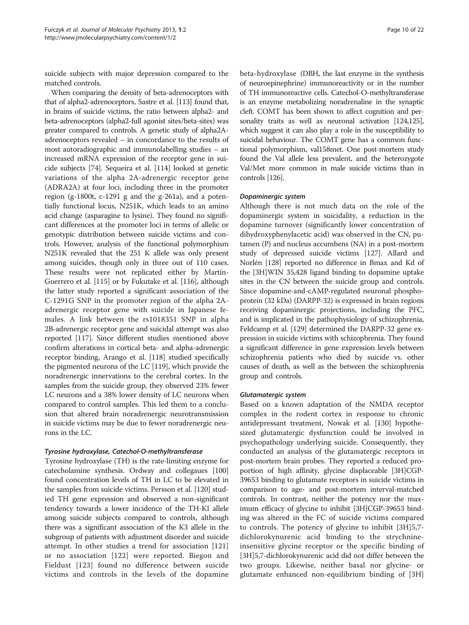suicide subjects with major depression compared to the matched controls.

When comparing the density of beta-adrenoceptors with that of alpha2-adrenoceptors, Sastre et al. [[113\]](#page-19-0) found that, in brains of suicide victims, the ratio between alpha2- and beta-adrenoceptors (alpha2-full agonist sites/beta-sites) was greater compared to controls. A genetic study of alpha2Aadrenoceptors revealed – in concordance to the results of most autoradiographic and immunolabelling studies – an increased mRNA expression of the receptor gene in suicide subjects [\[74](#page-18-0)]. Sequeira et al. [\[114](#page-19-0)] looked at genetic variations of the alpha 2A-adrenergic receptor gene (ADRA2A) at four loci, including three in the promoter region (g-1800t, c-1291 g and the g-261a), and a potentially functional locus, N251K, which leads to an amino acid change (asparagine to lysine). They found no significant differences at the promoter loci in terms of allelic or genotypic distribution between suicide victims and controls. However, analysis of the functional polymorphism N251K revealed that the 251 K allele was only present among suicides, though only in three out of 110 cases. These results were not replicated either by Martín-Guerrero et al. [\[115\]](#page-19-0) or by Fukutake et al. [[116](#page-19-0)], although the latter study reported a significant association of the C-1291G SNP in the promoter region of the alpha 2Aadrenergic receptor gene with suicide in Japanese females. A link between the rs1018351 SNP in alpha 2B-adrenergic receptor gene and suicidal attempt was also reported [[117](#page-19-0)]. Since different studies mentioned above confirm alterations in cortical beta- and alpha-adrenergic receptor binding, Arango et al. [\[118](#page-19-0)] studied specifically the pigmented neurons of the LC [\[119\]](#page-19-0), which provide the noradrenergic innervations to the cerebral cortex. In the samples from the suicide group, they observed 23% fewer LC neurons and a 38% lower density of LC neurons when compared to control samples. This led them to a conclusion that altered brain noradrenergic neurotransmission in suicide victims may be due to fewer noradrenergic neurons in the LC.

# Tyrosine hydroxylase, Catechol-O-methyltransferase

Tyrosine hydroxylase (TH) is the rate-limiting enzyme for catecholamine synthesis. Ordway and collegaues [\[100](#page-19-0)] found concentration levels of TH in LC to be elevated in the samples from suicide victims. Persson et al. [[120](#page-19-0)] studied TH gene expression and observed a non-significant tendency towards a lower incidence of the TH-KI allele among suicide subjects compared to controls, although there was a significant association of the K3 allele in the subgroup of patients with adjustment disorder and suicide attempt. In other studies a trend for association [\[121](#page-19-0)] or no association [[122](#page-19-0)] were reported. Biegon and Fieldust [[123](#page-19-0)] found no difference between suicide victims and controls in the levels of the dopamine

beta-hydroxylase (DBH, the last enzyme in the synthesis of neuroepinephrine) immunoreactivity or in the number of TH immunoreactive cells. Catechol-O-methyltransferase is an enzyme metabolizing noradrenaline in the synaptic cleft. COMT has been shown to affect cognition and per-sonality traits as well as neuronal activation [\[124,125](#page-19-0)], which suggest it can also play a role in the susceptibility to suicidal behaviour. The COMT gene has a common functional polymorphism, val158met. One post-mortem study found the Val allele less prevalent, and the heterozygote Val/Met more common in male suicide victims than in controls [\[126](#page-19-0)].

# Dopaminergic system

Although there is not much data on the role of the dopaminergic system in suicidality, a reduction in the dopamine turnover (significantly lower concentration of dihydroxyphenylacetic acid) was observed in the CN, putamen (P) and nucleus accumbens (NA) in a post-mortem study of depressed suicide victims [[127](#page-19-0)]. Allard and Norlén [\[128](#page-19-0)] reported no difference in Bmax and Kd of the [3H]WIN 35,428 ligand binding to dopamine uptake sites in the CN between the suicide group and controls. Since dopamine-and-cAMP-regulated neuronal phosphoprotein (32 kDa) (DARPP-32) is expressed in brain regions receiving dopaminergic projections, including the PFC, and is implicated in the pathophysiology of schizophrenia, Feldcamp et al. [\[129\]](#page-19-0) determined the DARPP-32 gene expression in suicide victims with schizophrenia. They found a significant difference in gene expression levels between schizophrenia patients who died by suicide vs. other causes of death, as well as the between the schizophrenia group and controls.

# Glutamatergic system

Based on a known adaptation of the NMDA receptor complex in the rodent cortex in response to chronic antidepressant treatment, Nowak et al. [\[130\]](#page-19-0) hypothesized glutamatergic dysfunction could be involved in psychopathology underlying suicide. Consequently, they conducted an analysis of the glutamatergic receptors in post-mortem brain probes. They reported a reduced proportion of high affinity, glycine displaceable [3H]CGP-39653 binding to glutamate receptors in suicide victims in comparison to age- and post-mortem interval-matched controls. In contrast, neither the potency nor the maximum efficacy of glycine to inhibit [3H]CGP-39653 binding was altered in the FC of suicide victims compared to controls. The potency of glycine to inhibit [3H]5,7 dichlorokynurenic acid binding to the strychnineinsensitive glycine receptor or the specific binding of [3H]5,7-dichlorokynurenic acid did not differ between the two groups. Likewise, neither basal nor glycine- or glutamate enhanced non-equilibrium binding of [3H]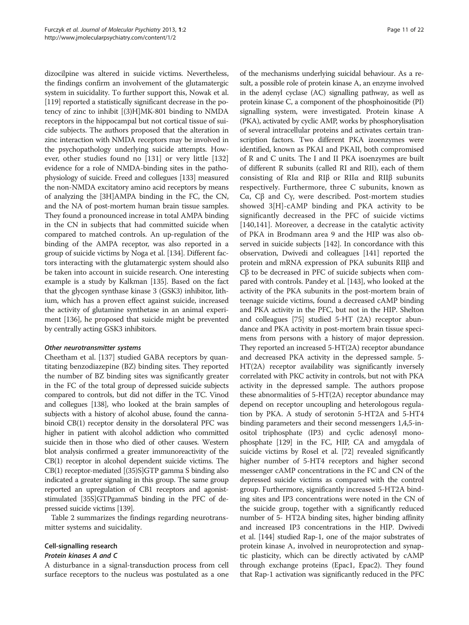dizocilpine was altered in suicide victims. Nevertheless, the findings confirm an involvement of the glutamatergic system in suicidality. To further support this, Nowak et al. [[119](#page-19-0)] reported a statistically significant decrease in the potency of zinc to inhibit [(3)H]MK-801 binding to NMDA receptors in the hippocampal but not cortical tissue of suicide subjects. The authors proposed that the alteration in zinc interaction with NMDA receptors may be involved in the psychopathology underlying suicide attempts. However, other studies found no [\[131](#page-19-0)] or very little [\[132](#page-19-0)] evidence for a role of NMDA-binding sites in the pathophysiology of suicide. Freed and collegues [\[133\]](#page-19-0) measured the non-NMDA excitatory amino acid receptors by means of analyzing the [3H]AMPA binding in the FC, the CN, and the NA of post-mortem human brain tissue samples. They found a pronounced increase in total AMPA binding in the CN in subjects that had committed suicide when compared to matched controls. An up-regulation of the binding of the AMPA receptor, was also reported in a group of suicide victims by Noga et al. [\[134\]](#page-19-0). Different factors interacting with the glutamatergic system should also be taken into account in suicide research. One interesting example is a study by Kalkman [\[135\]](#page-19-0). Based on the fact that the glycogen synthase kinase 3 (GSK3) inhibitor, lithium, which has a proven effect against suicide, increased the activity of glutamine synthetase in an animal experiment [\[136\]](#page-19-0), he proposed that suicide might be prevented by centrally acting GSK3 inhibitors.

#### Other neurotransmitter systems

Cheetham et al. [\[137\]](#page-19-0) studied GABA receptors by quantitating benzodiazepine (BZ) binding sites. They reported the number of BZ binding sites was significantly greater in the FC of the total group of depressed suicide subjects compared to controls, but did not differ in the TC. Vinod and collegues [[138\]](#page-19-0), who looked at the brain samples of subjects with a history of alcohol abuse, found the cannabinoid CB(1) receptor density in the dorsolateral PFC was higher in patient with alcohol addiction who committed suicide then in those who died of other causes. Western blot analysis confirmed a greater immunoreactivity of the CB(1) receptor in alcohol dependent suicide victims. The CB(1) receptor-mediated [(35)S]GTP gamma S binding also indicated a greater signaling in this group. The same group reported an upregulation of CB1 receptors and agoniststimulated [35S]GTPgammaS binding in the PFC of depressed suicide victims [[139\]](#page-19-0).

Table [2](#page-11-0) summarizes the findings regarding neurotransmitter systems and suicidality.

# Cell-signalling research

# Protein kinases A and C

A disturbance in a signal-transduction process from cell surface receptors to the nucleus was postulated as a one

of the mechanisms underlying suicidal behaviour. As a result, a possible role of protein kinase A, an enzyme involved in the adenyl cyclase (AC) signalling pathway, as well as protein kinase C, a component of the phosphoinositide (PI) signalling system, were investigated. Protein kinase A (PKA), activated by cyclic AMP, works by phosphorylisation of several intracellular proteins and activates certain transcription factors. Two different PKA izoenzymes were identified, known as PKAI and PKAII, both compromised of R and C units. The I and II PKA isoenzymes are built of different R subunits (called RI and RII), each of them consisting of RIα and RIβ or RIIα and RIIβ subunits respectively. Furthermore, three C subunits, known as Cα, Cβ and Cγ, were described. Post-mortem studies showed 3[H]-cAMP binding and PKA activity to be significantly decreased in the PFC of suicide victims [[140](#page-19-0)[,141](#page-20-0)]. Moreover, a decrease in the catalytic activity of PKA in Brodmann area 9 and the HIP was also observed in suicide subjects [\[142\]](#page-20-0). In concordance with this observation, Dwivedi and colleagues [\[141\]](#page-20-0) reported the protein and mRNA expression of PKA subunits RIIβ and Cβ to be decreased in PFC of suicide subjects when compared with controls. Pandey et al. [\[143](#page-20-0)], who looked at the activity of the PKA subunits in the post-mortem brain of teenage suicide victims, found a decreased cAMP binding and PKA activity in the PFC, but not in the HIP. Shelton and colleagues [[75](#page-18-0)] studied 5-HT (2A) receptor abundance and PKA activity in post-mortem brain tissue specimens from persons with a history of major depression. They reported an increased 5-HT(2A) receptor abundance and decreased PKA activity in the depressed sample. 5- HT(2A) receptor availability was significantly inversely correlated with PKC activity in controls, but not with PKA activity in the depressed sample. The authors propose these abnormalities of 5-HT(2A) receptor abundance may depend on receptor uncoupling and heterologous regulation by PKA. A study of serotonin 5-HT2A and 5-HT4 binding parameters and their second messengers 1,4,5-inositol triphosphate (IP3) and cyclic adenosyl monophosphate [\[129\]](#page-19-0) in the FC, HIP, CA and amygdala of suicide victims by Rosel et al. [[72](#page-18-0)] revealed significantly higher number of 5-HT4 receptors and higher second messenger cAMP concentrations in the FC and CN of the depressed suicide victims as compared with the control group. Furthermore, significantly increased 5-HT2A binding sites and IP3 concentrations were noted in the CN of the suicide group, together with a significantly reduced number of 5- HT2A binding sites, higher binding affinity and increased IP3 concentrations in the HIP. Dwivedi et al. [\[144\]](#page-20-0) studied Rap-1, one of the major substrates of protein kinase A, involved in neuroprotection and synaptic plasticity, which can be directly activated by cAMP through exchange proteins (Epac1, Epac2). They found that Rap-1 activation was significantly reduced in the PFC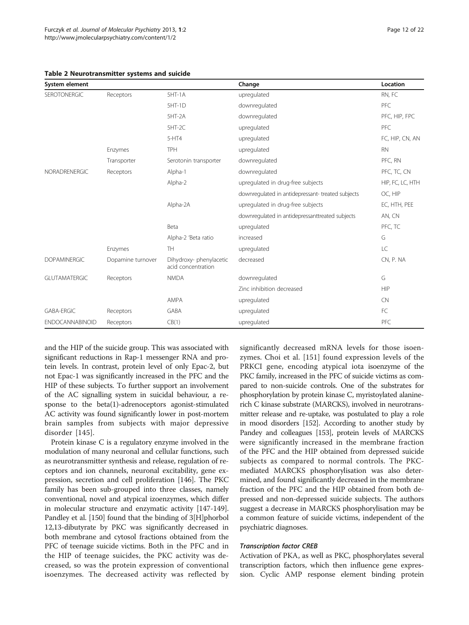#### <span id="page-11-0"></span>Table 2 Neurotransmitter systems and suicide

| System element         |                   |                                               | Change                                           | Location         |
|------------------------|-------------------|-----------------------------------------------|--------------------------------------------------|------------------|
| <b>SEROTONERGIC</b>    | Receptors         | $5HT-1A$                                      | upregulated                                      | RN, FC           |
|                        |                   | 5HT-1D                                        | downregulated                                    | PFC              |
|                        |                   | 5HT-2A                                        | downregulated                                    | PFC, HIP, FPC    |
|                        |                   | $5HT-2C$                                      | upregulated                                      | PFC              |
|                        |                   | $5-HT4$                                       | upregulated                                      | FC, HIP, CN, AN  |
|                        | Enzymes           | <b>TPH</b>                                    | upregulated                                      | <b>RN</b>        |
|                        | Transporter       | Serotonin transporter                         | downregulated                                    | PFC, RN          |
| NORADRENERGIC          | Receptors         | Alpha-1                                       | downregulated                                    | PFC, TC, CN      |
|                        |                   | Alpha-2                                       | upregulated in drug-free subjects                | HIP, FC, LC, HTH |
|                        |                   |                                               | downregulated in antidepressant-treated subjects | OC, HIP          |
|                        |                   | Alpha-2A                                      | upregulated in drug-free subjects                | EC, HTH, PEE     |
|                        |                   |                                               | downregulated in antidepressanttreated subjects  | AN, CN           |
|                        |                   | Beta                                          | upregulated                                      | PFC, TC          |
|                        |                   | Alpha-2 'Beta ratio                           | increased                                        | G                |
|                        | Enzymes           | TH                                            | upregulated                                      | LC               |
| <b>DOPAMINERGIC</b>    | Dopamine turnover | Dihydroxy- phenylacetic<br>acid concentration | decreased                                        | CN, P. NA        |
| <b>GLUTAMATERGIC</b>   | Receptors         | <b>NMDA</b>                                   | downregulated                                    | G                |
|                        |                   |                                               | Zinc inhibition decreased                        | <b>HIP</b>       |
|                        |                   | <b>AMPA</b>                                   | upregulated                                      | <b>CN</b>        |
| <b>GABA-ERGIC</b>      | Receptors         | GABA                                          | upregulated                                      | FC               |
| <b>ENDOCANNABINOID</b> | Receptors         | CB(1)                                         | upregulated                                      | PFC              |

and the HIP of the suicide group. This was associated with significant reductions in Rap-1 messenger RNA and protein levels. In contrast, protein level of only Epac-2, but not Epac-1 was significantly increased in the PFC and the HIP of these subjects. To further support an involvement of the AC signalling system in suicidal behaviour, a response to the beta(1)-adrenoceptors agonist-stimulated AC activity was found significantly lower in post-mortem brain samples from subjects with major depressive disorder [[145](#page-20-0)].

Protein kinase C is a regulatory enzyme involved in the modulation of many neuronal and cellular functions, such as neurotransmitter synthesis and release, regulation of receptors and ion channels, neuronal excitability, gene expression, secretion and cell proliferation [[146](#page-20-0)]. The PKC family has been sub-grouped into three classes, namely conventional, novel and atypical izoenzymes, which differ in molecular structure and enzymatic activity [[147-149](#page-20-0)]. Pandley et al. [[150](#page-20-0)] found that the binding of 3[H]phorbol 12,13-dibutyrate by PKC was significantly decreased in both membrane and cytosol fractions obtained from the PFC of teenage suicide victims. Both in the PFC and in the HIP of teenage suicides, the PKC activity was decreased, so was the protein expression of conventional isoenzymes. The decreased activity was reflected by

significantly decreased mRNA levels for those isoenzymes. Choi et al. [\[151](#page-20-0)] found expression levels of the PRKCI gene, encoding atypical iota isoenzyme of the PKC family, increased in the PFC of suicide victims as compared to non-suicide controls. One of the substrates for phosphorylation by protein kinase C, myristoylated alaninerich C kinase substrate (MARCKS), involved in neurotransmitter release and re-uptake, was postulated to play a role in mood disorders [[152\]](#page-20-0). According to another study by Pandey and colleagues [\[153](#page-20-0)], protein levels of MARCKS were significantly increased in the membrane fraction of the PFC and the HIP obtained from depressed suicide subjects as compared to normal controls. The PKCmediated MARCKS phosphorylisation was also determined, and found significantly decreased in the membrane fraction of the PFC and the HIP obtained from both depressed and non-depressed suicide subjects. The authors suggest a decrease in MARCKS phosphorylisation may be a common feature of suicide victims, independent of the psychiatric diagnoses.

#### Transcription factor CREB

Activation of PKA, as well as PKC, phosphorylates several transcription factors, which then influence gene expression. Cyclic AMP response element binding protein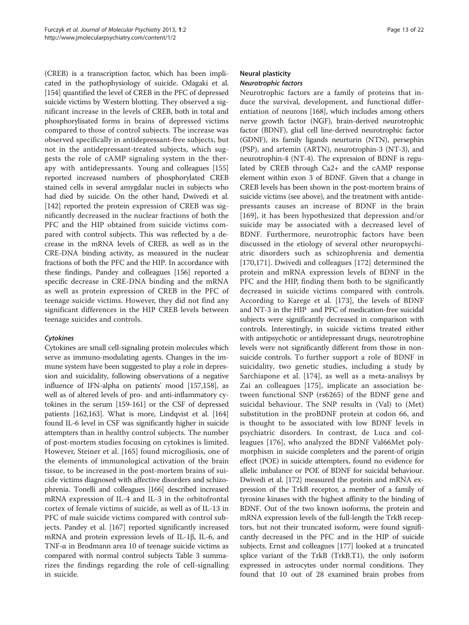(CREB) is a transcription factor, which has been implicated in the pathophysiology of suicide. Odagaki et al. [[154](#page-20-0)] quantified the level of CREB in the PFC of depressed suicide victims by Western blotting. They observed a significant increase in the levels of CREB, both in total and phosphorylisated forms in brains of depressed victims compared to those of control subjects. The increase was observed specifically in antidepressant-free subjects, but not in the antidepressant-treated subjects, which suggests the role of cAMP signaling system in the therapy with antidepressants. Young and colleagues [\[155](#page-20-0)] reported increased numbers of phosphorylated CREB stained cells in several amygdalar nuclei in subjects who had died by suicide. On the other hand, Dwivedi et al. [[142](#page-20-0)] reported the protein expression of CREB was significantly decreased in the nuclear fractions of both the PFC and the HIP obtained from suicide victims compared with control subjects. This was reflected by a decrease in the mRNA levels of CREB, as well as in the CRE-DNA binding activity, as measured in the nuclear fractions of both the PFC and the HIP. In accordance with these findings, Pandey and colleagues [\[156\]](#page-20-0) reported a specific decrease in CRE-DNA binding and the mRNA as well as protein expression of CREB in the PFC of teenage suicide victims. However, they did not find any significant differences in the HIP CREB levels between teenage suicides and controls.

# Cytokines

Cytokines are small cell-signaling protein molecules which serve as immuno-modulating agents. Changes in the immune system have been suggested to play a role in depression and suicidality, following observations of a negative influence of IFN-alpha on patients' mood [\[157,158](#page-20-0)], as well as of altered levels of pro- and anti-inflammatory cytokines in the serum [\[159](#page-20-0)-[161](#page-20-0)] or the CSF of depressed patients [\[162,163\]](#page-20-0). What is more, Lindqvist et al. [\[164](#page-20-0)] found IL-6 level in CSF was significantly higher in suicide attempters than in healthy control subjects. The number of post-mortem studies focusing on cytokines is limited. However, Steiner et al. [\[165](#page-20-0)] found microgiliosis, one of the elements of immunological activation of the brain tissue, to be increased in the post-mortem brains of suicide victims diagnosed with affective disorders and schizophrenia. Tonelli and colleagues [\[166](#page-20-0)] described increased mRNA expression of IL-4 and IL-3 in the orbitofrontal cortex of female victims of suicide, as well as of IL-13 in PFC of male suicide victims compared with control subjects. Pandey et al. [[167](#page-20-0)] reported significantly increased mRNA and protein expression levels of IL-1β, IL-6, and TNF-α in Brodmann area 10 of teenage suicide victims as compared with normal control subjects Table [3](#page-13-0) summarizes the findings regarding the role of cell-signalling in suicide.

#### Neural plasticity Neurotrophic factors

Neurotrophic factors are a family of proteins that induce the survival, development, and functional differentiation of neurons [[168](#page-20-0)], which includes among others nerve growth factor (NGF), brain-derived neurotrophic factor (BDNF), glial cell line-derived neurotrophic factor (GDNF), its family ligands neurturin (NTN), persephin (PSP), and artemin (ARTN), neurotrophin-3 (NT-3), and neurotrophin-4 (NT-4). The expression of BDNF is regulated by CREB through Ca2+ and the cAMP response element within exon 3 of BDNF. Given that a change in CREB levels has been shown in the post-mortem brains of suicide victims (see above), and the treatment with antidepressants causes an increase of BDNF in the brain [[169\]](#page-20-0), it has been hypothesized that depression and/or suicide may be associated with a decreased level of BDNF. Furthermore, neurotrophic factors have been discussed in the etiology of several other neuropsychiatric disorders such as schizophrenia and dementia [[170,171](#page-20-0)]. Dwivedi and colleagues [\[172](#page-20-0)] determined the protein and mRNA expression levels of BDNF in the PFC and the HIP, finding them both to be significantly decreased in suicide victims compared with controls. According to Karege et al. [\[173](#page-20-0)], the levels of BDNF and NT-3 in the HIP and PFC of medication-free suicidal subjects were significantly decreased in comparison with controls. Interestingly, in suicide victims treated either with antipsychotic or antidepressant drugs, neurotrophine levels were not significantly different from those in nonsuicide controls. To further support a role of BDNF in suicidality, two genetic studies, including a study by Sarchiapone et al. [[174\]](#page-20-0), as well as a meta-analisys by Zai an colleagues [[175\]](#page-20-0), implicate an association between functional SNP (rs6265) of the BDNF gene and suicidal behaviour. The SNP results in (Val) to (Met) substitution in the proBDNF protein at codon 66, and is thought to be associated with low BDNF levels in psychiatric disorders. In contrast, de Luca and colleagues [[176\]](#page-20-0), who analyzed the BDNF Val66Met polymorphism in suicide completers and the parent-of origin effect (POE) in suicide attempters, found no evidence for allelic imbalance or POE of BDNF for suicidal behaviour. Dwivedi et al. [\[172\]](#page-20-0) measured the protein and mRNA expression of the TrkB receptor, a member of a family of tyrosine kinases with the highest affinity to the binding of BDNF. Out of the two known isoforms, the protein and mRNA expression levels of the full-length the TrkB receptors, but not their truncated isoform, were found significantly decreased in the PFC and in the HIP of suicide subjects. Ernst and colleagues [\[177\]](#page-20-0) looked at a truncated splice variant of the TrkB (TrkB.T1), the only isoform expressed in astrocytes under normal conditions. They found that 10 out of 28 examined brain probes from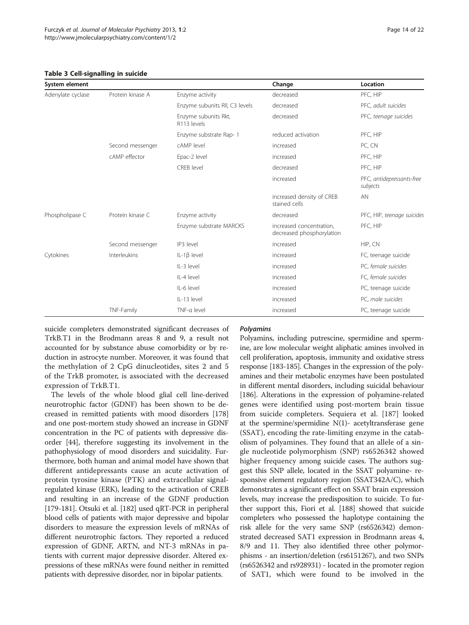#### <span id="page-13-0"></span>Table 3 Cell-signalling in suicide

| System element    |                  |                                     | Change                                                | Location                              |
|-------------------|------------------|-------------------------------------|-------------------------------------------------------|---------------------------------------|
| Adenylate cyclase | Protein kinase A | Enzyme activity                     | decreased                                             | PFC, HIP                              |
|                   |                  | Enzyme subunits RII, C3 levels      | decreased                                             | PFC, adult suicides                   |
|                   |                  | Enzyme subunits Rkt,<br>R113 levels | decreased                                             | PFC, teenage suicides                 |
|                   |                  | Enzyme substrate Rap-1              | reduced activation                                    | PFC, HIP                              |
|                   | Second messenger | cAMP level                          | increased                                             | PC, CN                                |
|                   | cAMP effector    | Epac-2 level                        | increased                                             | PFC, HIP                              |
|                   |                  | CREB level                          | decreased                                             | PFC, HIP                              |
|                   |                  |                                     | increased                                             | PFC, antidepressants-free<br>subjects |
|                   |                  |                                     | increased density of CREB<br>stained cells            | <b>AN</b>                             |
| Phospholipase C   | Protein kinase C | Enzyme activity                     | decreased                                             | PFC, HIP, teenage suicides            |
|                   |                  | Enzyme substrate MARCKS             | increased concentration,<br>decreased phosphorylation | PFC, HIP                              |
|                   | Second messenger | IP3 level                           | increased                                             | HIP, CN                               |
| Cytokines         | Interleukins     | $IL-1\beta$ level                   | increased                                             | FC, teenage suicide                   |
|                   |                  | IL-3 level                          | increased                                             | PC, female suicides                   |
|                   |                  | $   -4 $ evel                       | increased                                             | FC, female suicides                   |
|                   |                  | IL-6 level                          | increased                                             | PC, teenage suicide                   |
|                   |                  | IL-13 level                         | increased                                             | PC, male suicides                     |
|                   | TNF-Family       | TNF-a level                         | increased                                             | PC, teenage suicide                   |

suicide completers demonstrated significant decreases of TrkB.T1 in the Brodmann areas 8 and 9, a result not accounted for by substance abuse comorbidity or by reduction in astrocyte number. Moreover, it was found that the methylation of 2 CpG dinucleotides, sites 2 and 5 of the TrkB promoter, is associated with the decreased expression of TrkB.T1.

The levels of the whole blood glial cell line-derived neurotrophic factor (GDNF) has been shown to be decreased in remitted patients with mood disorders [\[178](#page-20-0)] and one post-mortem study showed an increase in GDNF concentration in the PC of patients with depressive disorder [[44](#page-17-0)], therefore suggesting its involvement in the pathophysiology of mood disorders and suicidality. Furthermore, both human and animal model have shown that different antidepressants cause an acute activation of protein tyrosine kinase (PTK) and extracellular signalregulated kinase (ERK), leading to the activation of CREB and resulting in an increase of the GDNF production [[179](#page-20-0)-[181](#page-21-0)]. Otsuki et al. [[182](#page-21-0)] used qRT-PCR in peripheral blood cells of patients with major depressive and bipolar disorders to measure the expression levels of mRNAs of different neurotrophic factors. They reported a reduced expression of GDNF, ARTN, and NT-3 mRNAs in patients with current major depressive disorder. Altered expressions of these mRNAs were found neither in remitted patients with depressive disorder, nor in bipolar patients.

# Polyamins

Polyamins, including putrescine, spermidine and spermine, are low molecular weight aliphatic amines involved in cell proliferation, apoptosis, immunity and oxidative stress response [\[183-185\]](#page-21-0). Changes in the expression of the polyamines and their metabolic enzymes have been postulated in different mental disorders, including suicidal behaviour [[186](#page-21-0)]. Alterations in the expression of polyamine-related genes were identified using post-mortem brain tissue from suicide completers. Sequiera et al. [\[187](#page-21-0)] looked at the spermine/spermidine  $N(1)$ - acetyltransferase gene (SSAT), encoding the rate-limiting enzyme in the catabolism of polyamines. They found that an allele of a single nucleotide polymorphism (SNP) rs6526342 showed higher frequency among suicide cases. The authors suggest this SNP allele, located in the SSAT polyamine- responsive element regulatory region (SSAT342A/C), which demonstrates a significant effect on SSAT brain expression levels, may increase the predisposition to suicide. To further support this, Fiori et al. [[188](#page-21-0)] showed that suicide completers who possessed the haplotype containing the risk allele for the very same SNP (rs6526342) demonstrated decreased SAT1 expression in Brodmann areas 4, 8/9 and 11. They also identified three other polymorphisms - an insertion/deletion (rs6151267), and two SNPs (rs6526342 and rs928931) - located in the promoter region of SAT1, which were found to be involved in the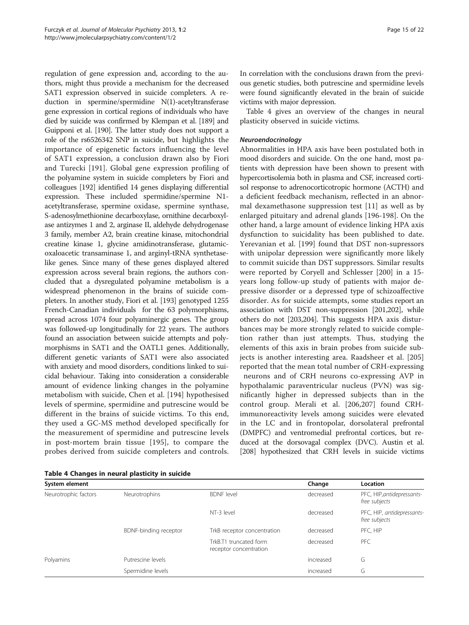regulation of gene expression and, according to the authors, might thus provide a mechanism for the decreased SAT1 expression observed in suicide completers. A reduction in spermine/spermidine N(1)-acetyltransferase gene expression in cortical regions of individuals who have died by suicide was confirmed by Klempan et al. [[189\]](#page-21-0) and Guipponi et al. [[190\]](#page-21-0). The latter study does not support a role of the rs6526342 SNP in suicide, but highlights the importance of epigenetic factors influencing the level of SAT1 expression, a conclusion drawn also by Fiori and Turecki [[191\]](#page-21-0). Global gene expression profiling of the polyamine system in suicide completers by Fiori and colleagues [[192](#page-21-0)] identified 14 genes displaying differential expression. These included spermidine/spermine N1 acetyltransferase, spermine oxidase, spermine synthase, S-adenosylmethionine decarboxylase, ornithine decarboxylase antizymes 1 and 2, arginase II, aldehyde dehydrogenase 3 family, member A2, brain creatine kinase, mitochondrial creatine kinase 1, glycine amidinotransferase, glutamicoxaloacetic transaminase 1, and arginyl-tRNA synthetaselike genes. Since many of these genes displayed altered expression across several brain regions, the authors concluded that a dysregulated polyamine metabolism is a widespread phenomenon in the brains of suicide completers. In another study, Fiori et al. [[193](#page-21-0)] genotyped 1255 French-Canadian individuals for the 63 polymorphisms, spread across 1074 four polyaminergic genes. The group was followed-up longitudinally for 22 years. The authors found an association between suicide attempts and polymorphisms in SAT1 and the OATL1 genes. Additionally, different genetic variants of SAT1 were also associated with anxiety and mood disorders, conditions linked to suicidal behaviour. Taking into consideration a considerable amount of evidence linking changes in the polyamine metabolism with suicide, Chen et al. [[194\]](#page-21-0) hypothesised levels of spermine, spermidine and putrescine would be different in the brains of suicide victims. To this end, they used a GC-MS method developed specifically for the measurement of spermidine and putrescine levels in post-mortem brain tissue [\[195\]](#page-21-0), to compare the probes derived from suicide completers and controls. In correlation with the conclusions drawn from the previous genetic studies, both putrescine and spermidine levels were found significantly elevated in the brain of suicide victims with major depression.

Table 4 gives an overview of the changes in neural plasticity observed in suicide victims.

#### Neuroendocrinology

Abnormalities in HPA axis have been postulated both in mood disorders and suicide. On the one hand, most patients with depression have been shown to present with hypercortisolemia both in plasma and CSF, increased cortisol response to adrenocorticotropic hormone (ACTH) and a deficient feedback mechanism, reflected in an abnormal dexamethasone suppression test [[11\]](#page-16-0) as well as by enlarged pituitary and adrenal glands [[196-198\]](#page-21-0). On the other hand, a large amount of evidence linking HPA axis dysfunction to suicidality has been published to date. Yerevanian et al. [[199](#page-21-0)] found that DST non-supressors with unipolar depression were significantly more likely to commit suicide than DST suppressors. Similar results were reported by Coryell and Schlesser [\[200](#page-21-0)] in a 15 years long follow-up study of patients with major depressive disorder or a depressed type of schizoaffective disorder. As for suicide attempts, some studies report an association with DST non-suppression [[201,202\]](#page-21-0), while others do not [\[203,204](#page-21-0)]. This suggests HPA axis disturbances may be more strongly related to suicide completion rather than just attempts. Thus, studying the elements of this axis in brain probes from suicide subjects is another interesting area. Raadsheer et al. [\[205](#page-21-0)] reported that the mean total number of CRH-expressing neurons and of CRH neurons co-expressing AVP in hypothalamic paraventricular nucleus (PVN) was significantly higher in depressed subjects than in the control group. Merali et al. [[206,207\]](#page-21-0) found CRHimmunoreactivity levels among suicides were elevated in the LC and in frontopolar, dorsolateral prefrontal (DMPFC) and ventromedial prefrontal cortices, but reduced at the dorsovagal complex (DVC). Austin et al. [[208](#page-21-0)] hypothesized that CRH levels in suicide victims

| System element       |                       |                                                  | Change    | Location                                    |
|----------------------|-----------------------|--------------------------------------------------|-----------|---------------------------------------------|
| Neurotrophic factors | Neurotrophins         | <b>BDNF</b> level                                | decreased | PFC, HIP, antidepressants-<br>free subjects |
|                      |                       | NT-3 level                                       | decreased | PFC, HIP, antidepressants-<br>free subjects |
|                      | BDNF-binding receptor | TrkB receptor concentration                      | decreased | PFC, HIP                                    |
|                      |                       | TrkB.T1 truncated form<br>receptor concentration | decreased | PFC                                         |
| Polyamins            | Putrescine levels     |                                                  | increased | G                                           |
|                      | Spermidine levels     |                                                  | increased | G                                           |
|                      |                       |                                                  |           |                                             |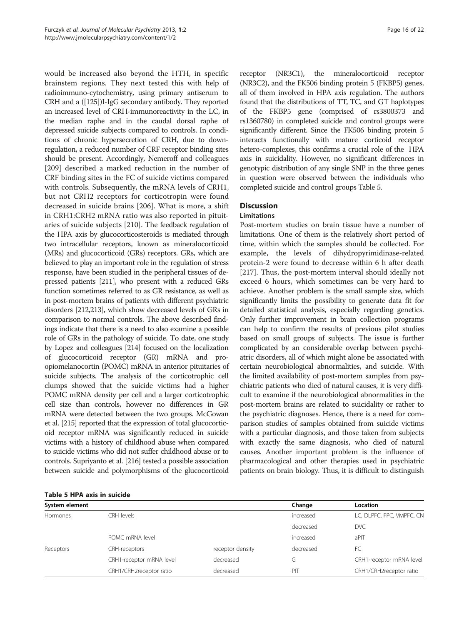would be increased also beyond the HTH, in specific brainstem regions. They next tested this with help of radioimmuno-cytochemistry, using primary antiserum to CRH and a ([[125\]](#page-19-0))I-IgG secondary antibody. They reported an increased level of CRH-immunoreactivity in the LC, in the median raphe and in the caudal dorsal raphe of depressed suicide subjects compared to controls. In conditions of chronic hypersecretion of CRH, due to downregulation, a reduced number of CRF receptor binding sites should be present. Accordingly, Nemeroff and colleagues [[209\]](#page-21-0) described a marked reduction in the number of CRF binding sites in the FC of suicide victims compared with controls. Subsequently, the mRNA levels of CRH1, but not CRH2 receptors for corticotropin were found decreased in suicide brains [[206\]](#page-21-0). What is more, a shift in CRH1:CRH2 mRNA ratio was also reported in pituitaries of suicide subjects [[210\]](#page-21-0). The feedback regulation of the HPA axis by glucocorticosteroids is mediated through two intracellular receptors, known as mineralocorticoid (MRs) and glucocorticoid (GRs) receptors. GRs, which are believed to play an important role in the regulation of stress response, have been studied in the peripheral tissues of depressed patients [\[211](#page-21-0)], who present with a reduced GRs function sometimes referred to as GR resistance, as well as in post-mortem brains of patients with different psychiatric disorders [[212,213\]](#page-21-0), which show decreased levels of GRs in comparison to normal controls. The above described findings indicate that there is a need to also examine a possible role of GRs in the pathology of suicide. To date, one study by Lopez and colleagues [[214\]](#page-21-0) focused on the localization of glucocorticoid receptor (GR) mRNA and proopiomelanocortin (POMC) mRNA in anterior pituitaries of suicide subjects. The analysis of the corticotrophic cell clumps showed that the suicide victims had a higher POMC mRNA density per cell and a larger corticotrophic cell size than controls, however no differences in GR mRNA were detected between the two groups. McGowan et al. [[215\]](#page-21-0) reported that the expression of total glucocorticoid receptor mRNA was significantly reduced in suicide victims with a history of childhood abuse when compared to suicide victims who did not suffer childhood abuse or to controls. Supriyanto et al. [\[216](#page-21-0)] tested a possible association between suicide and polymorphisms of the glucocorticoid

receptor (NR3C1), the mineralocorticoid receptor (NR3C2), and the FK506 binding protein 5 (FKBP5) genes, all of them involved in HPA axis regulation. The authors found that the distributions of TT, TC, and GT haplotypes of the FKBP5 gene (comprised of rs3800373 and rs1360780) in completed suicide and control groups were significantly different. Since the FK506 binding protein 5 interacts functionally with mature corticoid receptor hetero-complexes, this confirms a crucial role of the HPA axis in suicidality. However, no significant differences in genotypic distribution of any single SNP in the three genes in question were observed between the individuals who completed suicide and control groups Table 5.

# **Discussion**

# **Limitations**

Post-mortem studies on brain tissue have a number of limitations. One of them is the relatively short period of time, within which the samples should be collected. For example, the levels of dihydropyrimidinase-related protein-2 were found to decrease within 6 h after death [[217\]](#page-21-0). Thus, the post-mortem interval should ideally not exceed 6 hours, which sometimes can be very hard to achieve. Another problem is the small sample size, which significantly limits the possibility to generate data fit for detailed statistical analysis, especially regarding genetics. Only further improvement in brain collection programs can help to confirm the results of previous pilot studies based on small groups of subjects. The issue is further complicated by an considerable overlap between psychiatric disorders, all of which might alone be associated with certain neurobiological abnormalities, and suicide. With the limited availability of post-mortem samples from psychiatric patients who died of natural causes, it is very difficult to examine if the neurobiological abnormalities in the post-mortem brains are related to suicidality or rather to the psychiatric diagnoses. Hence, there is a need for comparison studies of samples obtained from suicide victims with a particular diagnosis, and those taken from subjects with exactly the same diagnosis, who died of natural causes. Another important problem is the influence of pharmacological and other therapies used in psychiatric patients on brain biology. Thus, it is difficult to distinguish

### Table 5 HPA axis in suicide

| System element |                          |                  | Change    | Location                  |  |
|----------------|--------------------------|------------------|-----------|---------------------------|--|
| Hormones       | CRH levels               |                  | increased | LC, DLPFC, FPC, VMPFC, CN |  |
|                |                          |                  | decreased | <b>DVC</b>                |  |
|                | POMC mRNA level          |                  | increased | aPIT                      |  |
| Receptors      | CRH-receptors            | receptor density | decreased | FC                        |  |
|                | CRH1-receptor mRNA level | decreased        | G         | CRH1-receptor mRNA level  |  |
|                | CRH1/CRH2receptor ratio  | decreased        | PIT       | CRH1/CRH2receptor ratio   |  |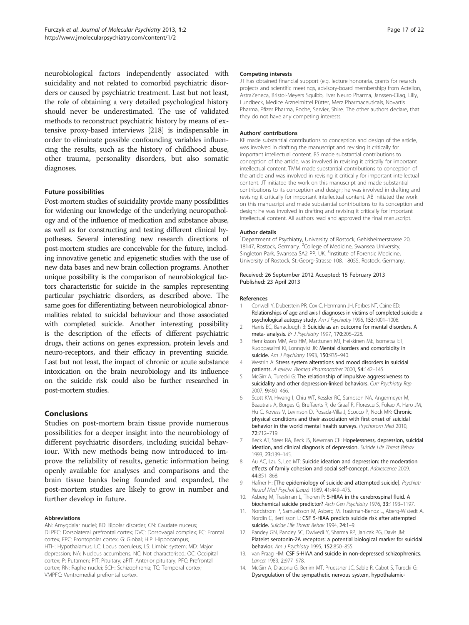<span id="page-16-0"></span>neurobiological factors independently associated with suicidality and not related to comorbid psychiatric disorders or caused by psychiatric treatment. Last but not least, the role of obtaining a very detailed psychological history should never be underestimated. The use of validated methods to reconstruct psychiatric history by means of extensive proxy-based interviews [\[218](#page-21-0)] is indispensable in order to eliminate possible confounding variables influencing the results, such as the history of childhood abuse, other trauma, personality disorders, but also somatic diagnoses.

#### Future possibilities

Post-mortem studies of suicidality provide many possibilities for widening our knowledge of the underlying neuropathology and of the influence of medication and substance abuse, as well as for constructing and testing different clinical hypotheses. Several interesting new research directions of post-mortem studies are conceivable for the future, including innovative genetic and epigenetic studies with the use of new data bases and new brain collection programs. Another unique possibility is the comparison of neurobiological factors characteristic for suicide in the samples representing particular psychiatric disorders, as described above. The same goes for differentiating between neurobiological abnormalities related to suicidal behaviour and those associated with completed suicide. Another interesting possibility is the description of the effects of different psychiatric drugs, their actions on genes expression, protein levels and neuro-receptors, and their efficacy in preventing suicide. Last but not least, the impact of chronic or acute substance intoxication on the brain neurobiology and its influence on the suicide risk could also be further researched in post-mortem studies.

# Conclusions

Studies on post-mortem brain tissue provide numerous possibilities for a deeper insight into the neurobiology of different psychiatric disorders, including suicidal behaviour. With new methods being now introduced to improve the reliability of results, genetic information being openly available for analyses and comparisons and the brain tissue banks being founded and expanded, the post-mortem studies are likely to grow in number and further develop in future.

#### Abbreviations

AN: Amygdalar nuclei; BD: Bipolar disorder; CN: Caudate nuceus; DLPFC: Dorsolateral prefrontal cortex; DVC: Dorsovagal complex; FC: Frontal cortex; FPC: Frontopolar cortex; G: Global; HIP: Hippocampus; HTH: Hypothalamus; LC: Locus coeruleus; LS: Limbic system; MD: Major depression; NA: Nucleus accumbens; NC: Not characterised; OC: Occipital cortex; P: Putamen; PIT: Pituitary; aPIT: Anterior pituitary; PFC: Prefrontal cortex; RN: Raphe nuclei; SCH: Schizophrenia; TC: Temporal cortex; VMPFC: Ventromedial prefrontal cortex.

#### Competing interests

JT has obtained financial support (e.g. lecture honoraria, grants for resarch projects and scientific meetings, advisory-board membership) from Actelion, AstraZeneca, Bristol-Meyers Squibb, Ever Neuro Pharma, Janssen-Cilag, Lilly, Lundbeck, Medice Arzneimittel Pütter, Merz Pharmaceuticals, Novartis Pharma, Pfizer Pharma, Roche, Servier, Shire. The other authors declare, that they do not have any competing interests.

#### Authors' contributions

KF made substantial contributions to conception and design of the article, was involved in drafting the manuscript and revising it critically for important intellectual content. BS made substantial contributions to conception of the article, was involved in revising it critically for important intellectual content. TMM made substantial contributions to conception of the article and was involved in revising it critically for important intellectual content. JT initiated the work on this manuscript and made substantial contributions to its conception and design; he was involved in drafting and revising it critically for important intellectual content. AB initiated the work on this manuscript and made substantial contributions to its conception and design; he was involved in drafting and revising it critically for important intellectual content. All authors read and approved the final manuscript.

#### Author details

<sup>1</sup>Department of Psychiatry, University of Rostock, Gehlsheimerstrasse 20 18147, Rostock, Germany. <sup>2</sup> College of Medicine, Swansea University Singleton Park, Swansea SA2 PP, UK. <sup>3</sup>Institute of Forensic Medicine, University of Rostock, St.-Georg-Strasse 108, 18055, Rostock, Germany.

#### Received: 26 September 2012 Accepted: 15 February 2013 Published: 23 April 2013

#### References

- 1. Conwell Y, Duberstein PR, Cox C, Herrmann JH, Forbes NT, Caine ED: Relationships of age and axis I diagnoses in victims of completed suicide: a psychological autopsy study. Am J Psychiatry 1996, 153:1001-1008.
- 2. Harris EC, Barraclough B: Suicide as an outcome for mental disorders. A meta- analysis. Br J Psychiatry 1997, 170:205–228.
- 3. Henriksson MM, Aro HM, Marttunen MJ, Heikkinen ME, Isometsa ET, Kuoppasalmi KI, Lonnqvist JK: Mental disorders and comorbidity in suicide. Am J Psychiatry 1993, 150:935-940.
- Westrin A: Stress system alterations and mood disorders in suicidal patients. A review. Biomed Pharmacother 2000, 54:142–145.
- 5. McGirr A, Turecki G: The relationship of impulsive aggressiveness to suicidality and other depression-linked behaviors. Curr Psychiatry Rep 2007, 9:460–466.
- 6. Scott KM, Hwang I, Chiu WT, Kessler RC, Sampson NA, Angermeyer M, Beautrais A, Borges G, Bruffaerts R, de Graaf R, Florescu S, Fukao A, Haro JM, Hu C, Kovess V, Levinson D, Posada-Villa J, Scocco P, Nock MK: Chronic physical conditions and their association with first onset of suicidal behavior in the world mental health surveys. Psychosom Med 2010, 72:712–719.
- 7. Beck AT, Steer RA, Beck JS, Newman CF: Hopelessness, depression, suicidal ideation, and clinical diagnosis of depression. Suicide Life Threat Behav 1993, 23:139–145.
- 8. Au AC, Lau S, Lee MT: Suicide ideation and depression: the moderation effects of family cohesion and social self-concept. Adolescence 2009, 44:851–868.
- 9. Hafner H: [The epidemiology of suicide and attempted suicide]. Psychiatr Neurol Med Psychol (Leipz) 1989, 41:449–475.
- 10. Asberg M, Traskman L, Thoren P: 5-HIAA in the cerebrospinal fluid. A biochemical suicide predictor? Arch Gen Psychiatry 1976, 33:1193–1197.
- 11. Nordstrom P, Samuelsson M, Asberg M, Traskman-Bendz L, Aberg-Wistedt A, Nordin C, Bertilsson L: CSF 5-HIAA predicts suicide risk after attempted suicide. Suicide Life Threat Behav 1994, 24:1-9.
- 12. Pandey GN, Pandey SC, Dwivedi Y, Sharma RP, Janicak PG, Davis JM: Platelet serotonin-2A receptors: a potential biological marker for suicidal behavior. Am J Psychiatry 1995, 152:850-855.
- 13. van Praag HM: CSF 5-HIAA and suicide in non-depressed schizophrenics. Lancet 1983, 2:977–978.
- 14. McGirr A, Diaconu G, Berlim MT, Pruessner JC, Sable R, Cabot S, Turecki G: Dysregulation of the sympathetic nervous system, hypothalamic-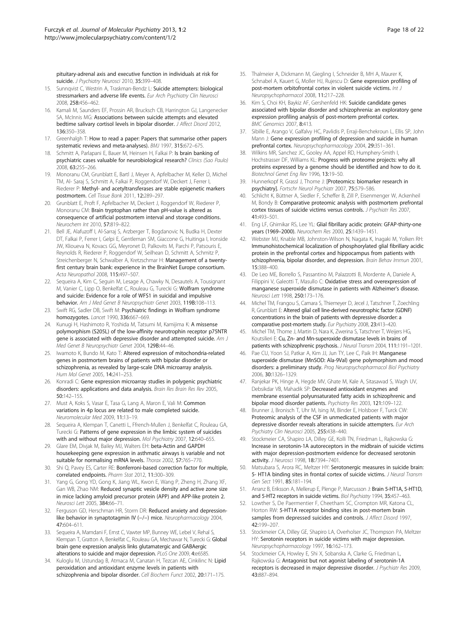<span id="page-17-0"></span>pituitary-adrenal axis and executive function in individuals at risk for suicide. J Psychiatry Neurosci 2010, 35:399-408.

- 15. Sunnqvist C, Westrin A, Traskman-Bendz L: Suicide attempters: biological stressmarkers and adverse life events. Eur Arch Psychiatry Clin Neurosci 2008, 258:456–462.
- 16. Kamali M, Saunders EF, Prossin AR, Brucksch CB, Harrington GJ, Langenecker SA, McInnis MG: Associations between suicide attempts and elevated bedtime salivary cortisol levels in bipolar disorder. J Affect Disord 2012, 136:350–358.
- 17. Greenhalgh T: How to read a paper: Papers that summarise other papers systematic reviews and meta-analyses). BMJ 1997, 315:672–675.
- 18. Schmitt A, Parlapani E, Bauer M, Heinsen H, Falkai P: Is brain banking of psychiatric cases valuable for neurobiological research? Clinics (Sao Paulo) 2008, 63:255–266.
- 19. Monoranu CM, Grunblatt E, Bartl J, Meyer A, Apfelbacher M, Keller D, Michel TM, Al- Saraj S, Schmitt A, Falkai P, Roggendorf W, Deckert J, Ferrer I, Riederer P: Methyl- and acetyltransferases are stable epigenetic markers postmortem. Cell Tissue Bank 2011, 12:289–297.
- 20. Grunblatt E, Proft F, Apfelbacher M, Deckert J, Roggendorf W, Riederer P, Monoranu CM: Brain tryptophan rather than pH-value is altered as consequence of artificial postmortem interval and storage conditions. Neurochem Int 2010, 57:819–822.
- 21. Bell JE, Alafuzoff I, Al-Sarraj S, Arzberger T, Bogdanovic N, Budka H, Dexter DT, Falkai P, Ferrer I, Gelpi E, Gentleman SM, Giaccone G, Huitinga I, Ironside JW, Klioueva N, Kovacs GG, Meyronet D, Palkovits M, Parchi P, Patsouris E, Reynolds R, Riederer P, Roggendorf W, Seilhean D, Schmitt A, Schmitz P, Streichenberger N, Schwalber A, Kretzschmar H: Management of a twentyfirst century brain bank: experience in the BrainNet Europe consortium. Acta Neuropathol 2008, 115:497-507.
- 22. Sequeira A, Kim C, Seguin M, Lesage A, Chawky N, Desautels A, Tousignant M, Vanier C, Lipp O, Benkelfat C, Rouleau G, Turecki G: Wolfram syndrome and suicide: Evidence for a role of WFS1 in suicidal and impulsive behavior. Am J Med Genet B Neuropsychiatr Genet 2003, 119B:108–113.
- 23. Swift RG, Sadler DB, Swift M: Psychiatric findings in Wolfram syndrome homozygotes. Lancet 1990, 336:667–669.
- 24. Kunugi H, Hashimoto R, Yoshida M, Tatsumi M, Kamijima K: A missense polymorphism (S205L) of the low-affinity neurotrophin receptor p75NTR gene is associated with depressive disorder and attempted suicide. Am J Med Genet B Neuropsychiatr Genet 2004, 129B:44-46.
- 25. Iwamoto K, Bundo M, Kato T: Altered expression of mitochondria-related genes in postmortem brains of patients with bipolar disorder or schizophrenia, as revealed by large-scale DNA microarray analysis. Hum Mol Genet 2005, 14:241–253.
- 26. Konradi C: Gene expression microarray studies in polygenic psychiatric disorders: applications and data analysis. Brain Res Brain Res Rev 2005, 50:142–155.
- 27. Must A, Koks S, Vasar E, Tasa G, Lang A, Maron E, Vali M: Common variations in 4p locus are related to male completed suicide. Neuromolecular Med 2009, 11:13–19.
- 28. Sequeira A, Klempan T, Canetti L, Ffrench-Mullen J, Benkelfat C, Rouleau GA, Turecki G: Patterns of gene expression in the limbic system of suicides with and without major depression. Mol Psychiatry 2007, 12:640-655.
- 29. Glare EM, Divjak M, Bailey MJ, Walters EH: beta-Actin and GAPDH housekeeping gene expression in asthmatic airways is variable and not suitable for normalising mRNA levels. Thorax 2002, 57:765–770.
- 30. Shi Q, Pavey ES, Carter RE: Bonferroni-based correction factor for multiple, correlated endpoints. Pharm Stat 2012, 11:300–309.
- 31. Yang G, Gong YD, Gong K, Jiang WL, Kwon E, Wang P, Zheng H, Zhang XF, Gan WB, Zhao NM: Reduced synaptic vesicle density and active zone size in mice lacking amyloid precursor protein (APP) and APP-like protein 2. Neurosci Lett 2005, 384:66–71.
- 32. Ferguson GD, Herschman HR, Storm DR: Reduced anxiety and depressionlike behavior in synaptotagmin IV (−/−) mice. Neuropharmacology 2004, 47:604–611.
- 33. Sequeira A, Mamdani F, Ernst C, Vawter MP, Bunney WE, Lebel V, Rehal S, Klempan T, Gratton A, Benkelfat C, Rouleau GA, Mechawar N, Turecki G: Global brain gene expression analysis links glutamatergic and GABAergic alterations to suicide and major depression. PLoS One 2009, 4:e6585.
- 34. Kuloglu M, Ustundag B, Atmaca M, Canatan H, Tezcan AE, Cinkilinc N: Lipid peroxidation and antioxidant enzyme levels in patients with schizophrenia and bipolar disorder. Cell Biochem Funct 2002, 20:171-175.
- 35. Thalmeier A, Dickmann M, Giegling I, Schneider B, MH A, Maurer K, Schnabel A, Kauert G, Moller HJ, Rujescu D: Gene expression profiling of post-mortem orbitofrontal cortex in violent suicide victims. Int J Neuropsychopharmacol 2008, 11:217–228.
- 36. Kim S, Choi KH, Baykiz AF, Gershenfeld HK: Suicide candidate genes associated with bipolar disorder and schizophrenia: an exploratory gene expression profiling analysis of post-mortem prefrontal cortex. BMC Genomics 2007, 8:413.
- 37. Sibille E, Arango V, Galfalvy HC, Pavlidis P, Erraji-Benchekroun L, Ellis SP, John Mann J: Gene expression profiling of depression and suicide in human prefrontal cortex. Neuropsychopharmacology 2004, 29:351–361.
- 38. Wilkins MR, Sanchez JC, Gooley AA, Appel RD, Humphery-Smith I, Hochstrasser DF, Williams KL: Progress with proteome projects: why all proteins expressed by a genome should be identified and how to do it. Biotechnol Genet Eng Rev 1996, 13:19–50.
- 39. Hunnerkopf R, Grassl J, Thome J: [Proteomics: biomarker research in psychiatry]. Fortschr Neurol Psychiatr 2007, 75:579–586.
- 40. Schlicht K, Büttner A, Siedler F, Scheffer B, Zill P, Eisenmenger W, Ackenheil M, Bondy B: Comparative proteomic analysis with postmortem prefrontal cortex tissues of suicide victims versus controls. J Psychiatr Res 2007, 41:493–501.
- 41. Eng LF, Ghirnikar RS, Lee YL: Glial fibrillary acidic protein: GFAP-thirty-one years (1969–2000). Neurochem Res 2000, 25:1439–1451.
- 42. Webster MJ, Knable MB, Johnston-Wilson N, Nagata K, Inagaki M, Yolken RH: Immunohistochemical localization of phosphorylated glial fibrillary acidic protein in the prefrontal cortex and hippocampus from patients with schizophrenia, bipolar disorder, and depression. Brain Behav Immun 2001, 15:388–400.
- 43. De Leo ME, Borrello S, Passantino M, Palazzotti B, Mordente A, Daniele A, Filippini V, Galeotti T, Masullo C: Oxidative stress and overexpression of manganese superoxide dismutase in patients with Alzheimer's disease. Neurosci Lett 1998, 250:173–176.
- 44. Michel TM, Frangou S, Camara S, Thiemeyer D, Jecel J, Tatschner T, Zoechling R, Grunblatt E: Altered glial cell line-derived neurotrophic factor (GDNF) concentrations in the brain of patients with depressive disorder: a comparative post-mortem study. Eur Psychiatry 2008, 23:413-420.
- 45. Michel TM, Thome J, Martin D, Nara K, Zwerina S, Tatschner T, Weijers HG, Koutsilieri E: Cu, Zn- and Mn-superoxide dismutase levels in brains of patients with schizophrenic psychosis. J Neural Transm 2004, 111:1191-1201.
- 46. Pae CU, Yoon SJ, Patkar A, Kim JJ, Jun TY, Lee C, Paik IH: Manganese superoxide dismutase (MnSOD: Ala-9Val) gene polymorphism and mood disorders: a preliminary study. Prog Neuropsychopharmacol Biol Psychiatry 2006, 30:1326–1329.
- 47. Ranjekar PK, Hinge A, Hegde MV, Ghate M, Kale A, Sitasawad S, Wagh UV, Debsikdar VB, Mahadik SP: Decreased antioxidant enzymes and membrane essential polyunsaturated fatty acids in schizophrenic and bipolar mood disorder patients. Psychiatry Res 2003, 121:109–122.
- 48. Brunner J, Bronisch T, Uhr M, Ising M, Binder E, Holsboer F, Turck CW: Proteomic analysis of the CSF in unmedicated patients with major depressive disorder reveals alterations in suicide attempters. Eur Arch Psychiatry Clin Neurosci 2005, 255:438–440.
- 49. Stockmeier CA, Shapiro LA, Dilley GE, Kolli TN, Friedman L, Rajkowska G: Increase in serotonin-1A autoreceptors in the midbrain of suicide victims with major depression-postmortem evidence for decreased serotonin activity. J Neurosci 1998, 18:7394–7401.
- 50. Matsubara S, Arora RC, Meltzer HY: Serotonergic measures in suicide brain: 5- HT1A binding sites in frontal cortex of suicide victims. J Neural Transm Gen Sect 1991, 85:181–194.
- 51. Arranz B, Eriksson A, Mellerup E, Plenge P, Marcusson J: Brain 5-HT1A, 5-HT1D, and 5-HT2 receptors in suicide victims. Biol Psychiatry 1994, 35:457-463.
- 52. Lowther S, De Paermentier F, Cheetham SC, Crompton MR, Katona CL, Horton RW: 5-HT1A receptor binding sites in post-mortem brain samples from depressed suicides and controls. J Affect Disord 1997, 42:199–207.
- 53. Stockmeier CA, Dilley GE, Shapiro LA, Overholser JC, Thompson PA, Meltzer HY: Serotonin receptors in suicide victims with major depression. Neuropsychopharmacology 1997, 16:162–173.
- 54. Stockmeier CA, Howley E, Shi X, Sobanska A, Clarke G, Friedman L, Rajkowska G: Antagonist but not agonist labeling of serotonin-1A receptors is decreased in major depressive disorder. J Psychiatr Res 2009, 43:887–894.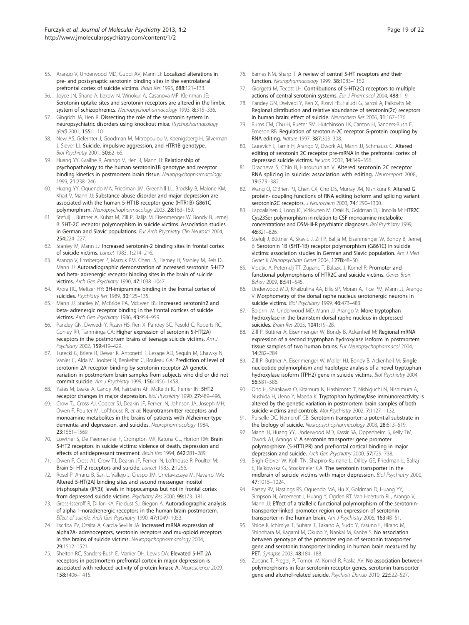- <span id="page-18-0"></span>55. Arango V, Underwood MD, Gubbi AV, Mann JJ: Localized alterations in pre- and postsynaptic serotonin binding sites in the ventrolateral prefrontal cortex of suicide victims. Brain Res 1995, 688:121–133.
- 56. Joyce JN, Shane A, Lexow N, Winokur A, Casanova MF, Kleinman JE: Serotonin uptake sites and serotonin receptors are altered in the limbic system of schizophrenics. Neuropsychopharmacology 1993, 8:315–336.
- 57. Gingrich JA, Hen R: Dissecting the role of the serotonin system in neuropsychiatric disorders using knockout mice. Psychopharmacology (Berl) 2001, 155:1–10.
- 58. New AS, Gelernter J, Goodman M, Mitropoulou V, Koenigsberg H, Silverman J, Siever LJ: Suicide, impulsive aggression, and HTR1B genotype. Biol Psychiatry 2001, 50:62–65.
- 59. Huang YY, Grailhe R, Arango V, Hen R, Mann JJ: Relationship of psychopathology to the human serotonin1B genotype and receptor binding kinetics in postmortem brain tissue. Neuropsychopharmacology 1999, 21:238–246.
- 60. Huang YY, Oquendo MA, Friedman JM, Greenhill LL, Brodsky B, Malone KM, Khait V, Mann JJ: Substance abuse disorder and major depression are associated with the human 5-HT1B receptor gene (HTR1B) G861C polymorphism. Neuropsychopharmacology 2003, 28:163–169.
- 61. Stefulj J, Büttner A, Kubat M, Zill P, Balija M, Eisenmenger W, Bondy B, Jernej B: 5HT-2C receptor polymorphism in suicide victims. Association studies in German and Slavic populations. Eur Arch Psychiatry Clin Neurosci 2004, 254:224–227.
- 62. Stanley M, Mann JJ: Increased serotonin-2 binding sites in frontal cortex of suicide victims. Lancet 1983, 1:214–216.
- 63. Arango V, Ernsberger P, Marzuk PM, Chen JS, Tierney H, Stanley M, Reis DJ, Mann JJ: Autoradiographic demonstration of increased serotonin 5-HT2 and beta- adrenergic receptor binding sites in the brain of suicide victims. Arch Gen Psychiatry 1990, 47:1038–1047.
- 64. Arora RC, Meltzer HY: 3H-imipramine binding in the frontal cortex of suicides. Psychiatry Res 1989, 30:125-135.
- 65. Mann JJ, Stanley M, McBride PA, McEwen BS: Increased serotonin2 and beta- adrenergic receptor binding in the frontal cortices of suicide victims. Arch Gen Psychiatry 1986, 43:954–959.
- 66. Pandey GN, Dwivedi Y, Rizavi HS, Ren X, Pandey SC, Pesold C, Roberts RC, Conley RR, Tamminga CA: Higher expression of serotonin 5-HT(2A) receptors in the postmortem brains of teenage suicide victims. Am J Psychiatry 2002, 159:419–429.
- 67. Turecki G, Briere R, Dewar K, Antonetti T, Lesage AD, Seguin M, Chawky N, Vanier C, Alda M, Joober R, Benkelfat C, Rouleau GA: Prediction of level of serotonin 2A receptor binding by serotonin receptor 2A genetic variation in postmortem brain samples from subjects who did or did not commit suicide. Am J Psychiatry 1999, 156:1456–1458.
- 68. Yates M, Leake A, Candy JM, Fairbairn AF, McKeith IG, Ferrier IN: 5HT2 receptor changes in major depression. Biol Psychiatry 1990, 27:489–496.
- 69. Crow TJ, Cross AJ, Cooper SJ, Deakin JF, Ferrier IN, Johnson JA, Joseph MH, Owen F, Poulter M, Lofthouse R, et al: Neurotransmitter receptors and monoamine metabolites in the brains of patients with Alzheimer-type dementia and depression, and suicides. Neuropharmacology 1984, 23:1561–1569.
- 70. Lowther S, De Paermentier F, Crompton MR, Katona CL, Horton RW: Brain 5-HT2 receptors in suicide victims: violence of death, depression and effects of antidepressant treatment. Brain Res 1994, 642:281–289.
- 71. Owen F, Cross AJ, Crow TJ, Deakin JF, Ferrier IN, Lofthouse R, Poulter M: Brain 5- HT-2 receptors and suicide. Lancet 1983, 2:1256.
- 72. Rosel P, Arranz B, San L, Vallejo J, Crespo JM, Urretavizcaya M, Navarro MA: Altered 5-HT(2A) binding sites and second messenger inositol trisphosphate (IP(3)) levels in hippocampus but not in frontal cortex from depressed suicide victims. Psychiatry Res 2000, 99:173–181.
- 73. Gross-Isseroff R, Dillon KA, Fieldust SJ, Biegon A: Autoradiographic analysis of alpha 1-noradrenergic receptors in the human brain postmortem. Effect of suicide. Arch Gen Psychiatry 1990, 47:1049–1053.
- 74. Escriba PV, Ozaita A, Garcia-Sevilla JA: Increased mRNA expression of alpha2A- adrenoceptors, serotonin receptors and mu-opioid receptors in the brains of suicide victims. Neuropsychopharmacology 2004, 29:1512–1521.
- 75. Shelton RC, Sanders-Bush E, Manier DH, Lewis DA: Elevated 5-HT 2A receptors in postmortem prefrontal cortex in major depression is associated with reduced activity of protein kinase A. Neuroscience 2009, 158:1406–1415.
- 76. Barnes NM, Sharp T: A review of central 5-HT receptors and their function. Neuropharmacology 1999, 38:1083–1152.
- 77. Giorgetti M, Tecott LH: Contributions of 5-HT(2C) receptors to multiple actions of central serotonin systems. Eur J Pharmacol 2004, 488:1–9.
- 78. Pandey GN, Dwivedi Y, Ren X, Rizavi HS, Faludi G, Sarosi A, Palkovits M: Regional distribution and relative abundance of serotonin(2c) receptors in human brain: effect of suicide. Neurochem Res 2006, 31:167–176.
- Burns CM, Chu H, Rueter SM, Hutchinson LK, Canton H, Sanders-Bush E, Emeson RB: Regulation of serotonin-2C receptor G-protein coupling by RNA editing. Nature 1997, 387:303–308.
- 80. Gurevich I, Tamir H, Arango V, Dwork AJ, Mann JJ, Schmauss C: Altered editing of serotonin 2C receptor pre-mRNA in the prefrontal cortex of depressed suicide victims. Neuron 2002, 34:349–356.
- 81. Dracheva S, Chin B, Haroutunian V: Altered serotonin 2C receptor RNA splicing in suicide: association with editing. Neuroreport 2008, 19:379–382.
- 82. Wang Q, O'Brien PJ, Chen CX, Cho DS, Murray JM, Nishikura K: Altered G protein- coupling functions of RNA editing isoform and splicing variant serotonin2C receptors. J Neurochem 2000, 74:1290-1300.
- 83. Lappalainen J, Long JC, Virkkunen M, Ozaki N, Goldman D, Linnoila M: HTR2C Cys23Ser polymorphism in relation to CSF monoamine metabolite concentrations and DSM-III-R psychiatric diagnoses. Biol Psychiatry 1999, 46:821–826.
- 84. Stefulj J, Büttner A, Skavic J, Zill P, Balija M, Eisenmenger W, Bondy B, Jernej B: Serotonin 1B (5HT-1B) receptor polymorphism (G861C) in suicide victims: association studies in German and Slavic population. Am J Med Genet B Neuropsychiatr Genet 2004, 127B:48–50.
- 85. Videtic A, Peternelj TT, Zupanc T, Balazic J, Komel R: Promoter and functional polymorphisms of HTR2C and suicide victims. Genes Brain Behav 2009, 8:541–545.
- 86. Underwood MD, Khaibulina AA, Ellis SP, Moran A, Rice PM, Mann JJ, Arango V: Morphometry of the dorsal raphe nucleus serotonergic neurons in suicide victims. Biol Psychiatry 1999, 46:473-483.
- 87. Boldrini M, Underwood MD, Mann JJ, Arango V: More tryptophan hydroxylase in the brainstem dorsal raphe nucleus in depressed suicides. Brain Res 2005, 1041:19–28.
- 88. Zill P, Büttner A, Eisenmenger W, Bondy B, Ackenheil M: Regional mRNA expression of a second tryptophan hydroxylase isoform in postmortem tissue samples of two human brains. Eur Neuropsychopharmacol 2004, 14:282–284.
- 89. Zill P, Büttner A, Eisenmenger W, Moller HJ, Bondy B, Ackenheil M: Single nucleotide polymorphism and haplotype analysis of a novel tryptophan hydroxylase isoform (TPH2) gene in suicide victims. Biol Psychiatry 2004, 56:581–586.
- 90. Ono H, Shirakawa O, Kitamura N, Hashimoto T, Nishiguchi N, Nishimura A, Nushida H, Ueno Y, Maeda K: Tryptophan hydroxylase immunoreactivity is altered by the genetic variation in postmortem brain samples of both suicide victims and controls. Mol Psychiatry 2002, 7:1127–1132.
- 91. Purselle DC, Nemeroff CB: Serotonin transporter: a potential substrate in the biology of suicide. Neuropsychopharmacology 2003, 28:613–619.
- 92. Mann JJ, Huang YY, Underwood MD, Kassir SA, Oppenheim S, Kelly TM, Dwork AJ, Arango V: A serotonin transporter gene promoter polymorphism (5-HTTLPR) and prefrontal cortical binding in major depression and suicide. Arch Gen Psychiatry 2000, 57:729–738.
- 93. Bligh-Glover W, Kolli TN, Shapiro-Kulnane L, Dilley GE, Friedman L, Balraj E, Rajkowska G, Stockmeier CA: The serotonin transporter in the midbrain of suicide victims with major depression. Biol Psychiatry 2000, 47:1015–1024.
- 94. Parsey RV, Hastings RS, Oquendo MA, Hu X, Goldman D, Huang YY, Simpson N, Arcement J, Huang Y, Ogden RT, Van Heertum RL, Arango V, Mann JJ: Effect of a triallelic functional polymorphism of the serotonintransporter-linked promoter region on expression of serotonin transporter in the human brain. Am J Psychiatry 2006, 163:48-51.
- 95. Shioe K, Ichimiya T, Suhara T, Takano A, Sudo Y, Yasuno F, Hirano M, Shinohara M, Kagami M, Okubo Y, Nankai M, Kanba S: No association between genotype of the promoter region of serotonin transporter gene and serotonin transporter binding in human brain measured by PET. Synapse 2003, 48:184–188.
- 96. Zupanc T, Pregelj P, Tomori M, Komel R, Paska AV: No association between polymorphisms in four serotonin receptor genes, serotonin transporter gene and alcohol-related suicide. Psychiatr Danub 2010, 22:522-527.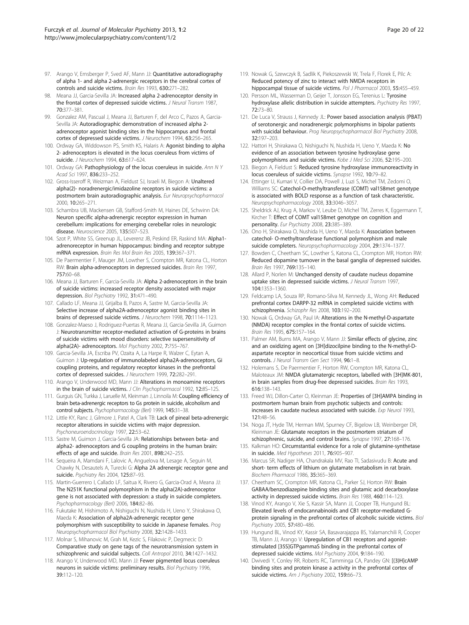- <span id="page-19-0"></span>97. Arango V, Ernsberger P, Sved AF, Mann JJ: Quantitative autoradiography of alpha 1- and alpha 2-adrenergic receptors in the cerebral cortex of controls and suicide victims. Brain Res 1993, 630:271–282.
- Meana JJ, Garcia-Sevilla JA: Increased alpha 2-adrenoceptor density in the frontal cortex of depressed suicide victims. J Neural Transm 1987, 70:377–381.
- 99. Gonzalez AM, Pascual J, Meana JJ, Barturen F, del Arco C, Pazos A, Garcia-Sevilla JA: Autoradiographic demonstration of increased alpha 2 adrenoceptor agonist binding sites in the hippocampus and frontal cortex of depressed suicide victims. J Neurochem 1994, 63:256–265.
- 100. Ordway GA, Widdowson PS, Smith KS, Halaris A: Agonist binding to alpha 2- adrenoceptors is elevated in the locus coeruleus from victims of suicide. J Neurochem 1994, 63:617-624.
- 101. Ordway GA: Pathophysiology of the locus coeruleus in suicide. Ann N Y Acad Sci 1997, 836:233–252.
- 102. Gross-Isseroff R, Weizman A, Fieldust SJ, Israeli M, Biegon A: Unaltered alpha(2)- noradrenergic/imidazoline receptors in suicide victims: a postmortem brain autoradiographic analysis. Eur Neuropsychopharmacol 2000, 10:265–271.
- 103. Schambra UB, Mackensen GB, Stafford-Smith M, Haines DE, Schwinn DA: Neuron specific alpha-adrenergic receptor expression in human cerebellum: implications for emerging cerebellar roles in neurologic disease. Neuroscience 2005, 135:507–523.
- 104. Szot P, White SS, Greenup JL, Leverenz JB, Peskind ER, Raskind MA: Alpha1 adrenoreceptor in human hippocampus: binding and receptor subtype mRNA expression. Brain Res Mol Brain Res 2005, 139:367–371.
- 105. De Paermentier F, Mauger JM, Lowther S, Crompton MR, Katona CL, Horton RW: Brain alpha-adrenoceptors in depressed suicides. Brain Res 1997, 757:60–68.
- 106. Meana JJ, Barturen F, Garcia-Sevilla JA: Alpha 2-adrenoceptors in the brain of suicide victims: increased receptor density associated with major depression. Biol Psychiatry 1992, 31:471–490.
- 107. Callado LF, Meana JJ, Grijalba B, Pazos A, Sastre M, Garcia-Sevilla JA: Selective increase of alpha2A-adrenoceptor agonist binding sites in brains of depressed suicide victims. J Neurochem 1998, 70:1114–1123.
- 108. Gonzalez-Maeso J, Rodriguez-Puertas R, Meana JJ, Garcia-Sevilla JA, Guimon J: Neurotransmitter receptor-mediated activation of G-proteins in brains of suicide victims with mood disorders: selective supersensitivity of alpha(2A)- adrenoceptors. Mol Psychiatry 2002, 7:755–767.
- 109. Garcia-Sevilla JA, Escriba PV, Ozaita A, La Harpe R, Walzer C, Eytan A, Guimon J: Up-regulation of immunolabeled alpha2A-adrenoceptors, Gi coupling proteins, and regulatory receptor kinases in the prefrontal cortex of depressed suicides. J Neurochem 1999, 72:282–291.
- 110. Arango V, Underwood MD, Mann JJ: Alterations in monoamine receptors in the brain of suicide victims. J Clin Psychopharmacol 1992, 12:8S-12S.
- 111. Gurguis GN, Turkka J, Laruelle M, Kleinman J, Linnoila M: Coupling efficiency of brain beta-adrenergic receptors to Gs protein in suicide, alcoholism and control subjects. Psychopharmacology (Berl) 1999, 145:31–38.
- 112. Little KY, Ranc J, Gilmore J, Patel A, Clark TB: Lack of pineal beta-adrenergic receptor alterations in suicide victims with major depression. Psychoneuroendocrinology 1997, 22:53–62.
- 113. Sastre M, Guimon J, Garcia-Sevilla JA: Relationships between beta- and alpha2- adrenoceptors and G coupling proteins in the human brain: effects of age and suicide. Brain Res 2001, 898:242–255.
- 114. Sequeira A, Mamdani F, Lalovic A, Anguelova M, Lesage A, Seguin M, Chawky N, Desautels A, Turecki G: Alpha 2A adrenergic receptor gene and suicide. Psychiatry Res 2004, 125:87-93.
- 115. Martin-Guerrero I, Callado LF, Saitua K, Rivero G, Garcia-Orad A, Meana JJ: The N251K functional polymorphism in the alpha(2A)-adrenoceptor gene is not associated with depression: a study in suicide completers. Psychopharmacology (Berl) 2006, 184:82–86.
- 116. Fukutake M, Hishimoto A, Nishiguchi N, Nushida H, Ueno Y, Shirakawa O, Maeda K: Association of alpha2A-adrenergic receptor gene polymorphism with susceptibility to suicide in Japanese females. Prog Neuropsychopharmacol Biol Psychiatry 2008, 32:1428–1433.
- 117. Molnar S, Mihanovic M, Grah M, Kezic S, Filakovic P, Degmecic D: Comparative study on gene tags of the neurotransmission system in schizophrenic and suicidal subjects. Coll Antropol 2010, 34:1427–1432.
- 118. Arango V, Underwood MD, Mann JJ: Fewer pigmented locus coeruleus neurons in suicide victims: preliminary results. Biol Psychiatry 1996, 39:112–120.
- 119. Nowak G, Szewczyk B, Sadlik K, Piekoszewski W, Trela F, Florek E, Pilc A: Reduced potency of zinc to interact with NMDA receptors in hippocampal tissue of suicide victims. Pol J Pharmacol 2003, 55:455-459.
- 120. Persson ML, Wasserman D, Geijer T, Jonsson EG, Terenius L: Tyrosine hydroxylase allelic distribution in suicide attempters. Psychiatry Res 1997, 72:73–80.
- 121. De Luca V, Strauss J, Kennedy JL: Power based association analysis (PBAT) of serotonergic and noradrenergic polymorphisms in bipolar patients with suicidal behaviour. Prog Neuropsychopharmacol Biol Psychiatry 2008, 32:197–203.
- 122. Hattori H, Shirakawa O, Nishiguchi N, Nushida H, Ueno Y, Maeda K: No evidence of an association between tyrosine hydroxylase gene polymorphisms and suicide victims. Kobe J Med Sci 2006, 52:195-200.
- 123. Biegon A, Fieldust S: Reduced tyrosine hydroxylase immunoreactivity in locus coeruleus of suicide victims. Synapse 1992, 10:79–82.
- 124. Ettinger U, Kumari V, Collier DA, Powell J, Luzi S, Michel TM, Zedomi O, Williams SC: Catechol-O-methyltransferase (COMT) val158met genotype is associated with BOLD response as a function of task characteristic. Neuropsychopharmacology 2008, 33:3046–3057.
- 125. Sheldrick AJ, Krug A, Markov V, Leube D, Michel TM, Zerres K, Eggermann T, Kircher T: Effect of COMT val158met genotype on cognition and personality. Eur Psychiatry 2008, 23:385–389.
- 126. Ono H, Shirakawa O, Nushida H, Ueno Y, Maeda K; Association between catechol- O-methyltransferase functional polymorphism and male suicide completers. Neuropsychopharmacology 2004, 29:1374–1377.
- 127. Bowden C, Cheetham SC, Lowther S, Katona CL, Crompton MR, Horton RW: Reduced dopamine turnover in the basal ganglia of depressed suicides. Brain Res 1997, 769:135–140.
- 128. Allard P, Norlen M: Unchanged density of caudate nucleus dopamine uptake sites in depressed suicide victims. J Neural Transm 1997, 104:1353–1360.
- 129. Feldcamp LA, Souza RP, Romano-Silva M, Kennedy JL, Wong AH: Reduced prefrontal cortex DARPP-32 mRNA in completed suicide victims with schizophrenia. Schizophr Res 2008, 103:192–200.
- 130. Nowak G, Ordway GA, Paul IA: Alterations in the N-methyl-D-aspartate (NMDA) receptor complex in the frontal cortex of suicide victims. Brain Res 1995, 675:157–164.
- 131. Palmer AM, Burns MA, Arango V, Mann JJ: Similar effects of glycine, zinc and an oxidizing agent on [3H]dizocilpine binding to the N-methyl-Daspartate receptor in neocortical tissue from suicide victims and controls. J Neural Transm Gen Sect 1994, 96:1–8.
- 132. Holemans S, De Paermentier F, Horton RW, Crompton MR, Katona CL, Maloteaux JM: NMDA glutamatergic receptors, labelled with [3H]MK-801, in brain samples from drug-free depressed suicides. Brain Res 1993, 616:138–143.
- 133. Freed WJ, Dillon-Carter O, Kleinman JE: Properties of [3H]AMPA binding in postmortem human brain from psychotic subjects and controls: increases in caudate nucleus associated with suicide. Exp Neurol 1993, 121:48–56.
- 134. Noga JT, Hyde TM, Herman MM, Spurney CF, Bigelow LB, Weinberger DR, Kleinman JE: Glutamate receptors in the postmortem striatum of schizophrenic, suicide, and control brains. Synapse 1997, 27:168-176.
- 135. Kalkman HO: Circumstantial evidence for a role of glutamine-synthetase in suicide. Med Hypotheses 2011, 76:905–907.
- 136. Marcus SR, Nadiger HA, Chandrakala MV, Rao TI, Sadasivudu B: Acute and short- term effects of lithium on glutamate metabolism in rat brain. Biochem Pharmacol 1986, 35:365–369.
- 137. Cheetham SC, Crompton MR, Katona CL, Parker SJ, Horton RW: Brain GABAA/benzodiazepine binding sites and glutamic acid decarboxylase activity in depressed suicide victims. Brain Res 1988, 460:114–123.
- 138. Vinod KY, Arango V, Xie S, Kassir SA, Mann JJ, Cooper TB, Hungund BL: Elevated levels of endocannabinoids and CB1 receptor-mediated Gprotein signaling in the prefrontal cortex of alcoholic suicide victims. Biol Psychiatry 2005, 57:480-486.
- 139. Hungund BL, Vinod KY, Kassir SA, Basavarajappa BS, Yalamanchili R, Cooper TB, Mann JJ, Arango V: Upregulation of CB1 receptors and agoniststimulated [35S]GTPgammaS binding in the prefrontal cortex of depressed suicide victims. Mol Psychiatry 2004, 9:184–190.
- 140. Dwivedi Y, Conley RR, Roberts RC, Tamminga CA, Pandey GN: [(3)H]cAMP binding sites and protein kinase a activity in the prefrontal cortex of suicide victims. Am J Psychiatry 2002, 159:66-73.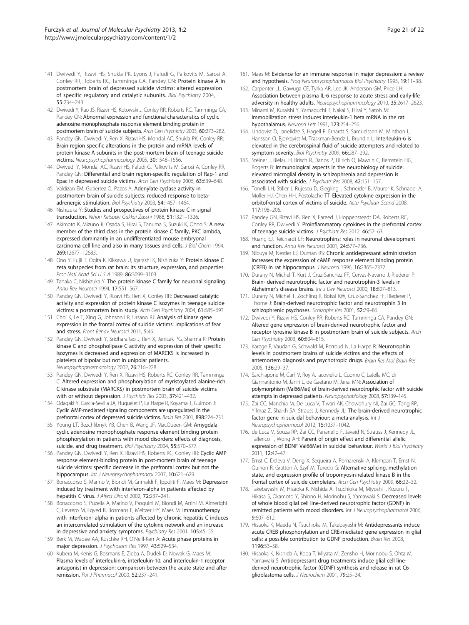- <span id="page-20-0"></span>141. Dwivedi Y, Rizavi HS, Shukla PK, Lyons J, Faludi G, Palkovits M, Sarosi A, Conley RR, Roberts RC, Tamminga CA, Pandey GN: Protein kinase A in postmortem brain of depressed suicide victims: altered expression of specific regulatory and catalytic subunits. Biol Psychiatry 2004, 55:234–243.
- 142. Dwivedi Y, Rao JS, Rizavi HS, Kotowski J, Conley RR, Roberts RC, Tamminga CA, Pandey GN: Abnormal expression and functional characteristics of cyclic adenosine monophosphate response element binding protein in postmortem brain of suicide subjects. Arch Gen Psychiatry 2003, 60:273–282.
- 143. Pandey GN, Dwivedi Y, Ren X, Rizavi HS, Mondal AC, Shukla PK, Conley RR: Brain region specific alterations in the protein and mRNA levels of protein kinase A subunits in the post-mortem brain of teenage suicide victims. Neuropsychopharmacology 2005, 30:1548–1556.
- 144. Dwivedi Y, Mondal AC, Rizavi HS, Faludi G, Palkovits M, Sarosi A, Conley RR, Pandey GN: Differential and brain region-specific regulation of Rap-1 and Epac in depressed suicide victims. Arch Gen Psychiatry 2006, 63:639–648.
- 145. Valdizan EM, Gutierrez O, Pazos A: Adenylate cyclase activity in postmortem brain of suicide subjects: reduced response to betaadrenergic stimulation. Biol Psychiatry 2003, 54:1457–1464.
- 146. Nishizuka Y: Studies and prospectives of protein kinase C in signal transduction. Nihon Ketsueki Gakkai Zasshi 1988, 51:1321–1326.
- 147. Akimoto K, Mizuno K, Osada S, Hirai S, Tanuma S, Suzuki K, Ohno S: A new member of the third class in the protein kinase C family, PKC lambda, expressed dominantly in an undifferentiated mouse embryonal carcinoma cell line and also in many tissues and cells. J Biol Chem 1994, 269:12677–12683.
- 148. Ono Y, Fujii T, Ogita K, Kikkawa U, Igarashi K, Nishizuka Y: Protein kinase C zeta subspecies from rat brain: its structure, expression, and properties. Proc Natl Acad Sci U S A 1989, 86:3099-3103.
- 149. Tanaka C, Nishizuka Y: The protein kinase C family for neuronal signaling. Annu Rev Neurosci 1994, 17:551–567.
- 150. Pandey GN, Dwivedi Y, Rizavi HS, Ren X, Conley RR: Decreased catalytic activity and expression of protein kinase C isozymes in teenage suicide victims: a postmortem brain study. Arch Gen Psychiatry 2004, 61:685–693.
- 151. Choi K, Le T, Xing G, Johnson LR, Ursano RJ: Analysis of kinase gene expression in the frontal cortex of suicide victims: implications of fear and stress. Front Behav Neurosci 2011, 5:46.
- 152. Pandey GN, Dwivedi Y, SridharaRao J, Ren X, Janicak PG, Sharma R: Protein kinase C and phospholipase C activity and expression of their specific isozymes is decreased and expression of MARCKS is increased in platelets of bipolar but not in unipolar patients. Neuropsychopharmacology 2002, 26:216–228.
- 153. Pandey GN, Dwivedi Y, Ren X, Rizavi HS, Roberts RC, Conley RR, Tamminga C: Altered expression and phosphorylation of myristoylated alanine-rich C kinase substrate (MARCKS) in postmortem brain of suicide victims with or without depression. J Psychiatr Res 2003, 37:421-432.
- 154. Odagaki Y, Garcia-Sevilla JA, Huguelet P, La Harpe R, Koyama T, Guimon J: Cyclic AMP-mediated signaling components are upregulated in the prefrontal cortex of depressed suicide victims. Brain Res 2001, 898:224–231.
- 155. Young LT, Bezchlibnyk YB, Chen B, Wang JF, MacQueen GM: Amygdala cyclic adenosine monophosphate response element binding protein phosphorylation in patients with mood disorders: effects of diagnosis, suicide, and drug treatment. Biol Psychiatry 2004, 55:570–577.
- 156. Pandey GN, Dwivedi Y, Ren X, Rizavi HS, Roberts RC, Conley RR: Cyclic AMP response element-binding protein in post-mortem brain of teenage suicide victims: specific decrease in the prefrontal cortex but not the hippocampus. Int J Neuropsychopharmacol 2007, 10:621–629.
- 157. Bonaccorso S, Marino V, Biondi M, Grimaldi F, Ippoliti F, Maes M: Depression induced by treatment with interferon-alpha in patients affected by hepatitis C virus. J Affect Disord 2002, 72:237–241.
- 158. Bonaccorso S, Puzella A, Marino V, Pasquini M, Biondi M, Artini M, Almerighi C, Levrero M, Egyed B, Bosmans E, Meltzer HY, Maes M: Immunotherapy with interferon- alpha in patients affected by chronic hepatitis C induces an intercorrelated stimulation of the cytokine network and an increase in depressive and anxiety symptoms. Psychiatry Res 2001, 105:45-55.
- 159. Berk M, Wadee AA, Kuschke RH, O'Neill-Kerr A: Acute phase proteins in major depression. J Psychosom Res 1997, 43:529-534.
- 160. Kubera M, Kenis G, Bosmans E, Zieba A, Dudek D, Nowak G, Maes M: Plasma levels of interleukin-6, interleukin-10, and interleukin-1 receptor antagonist in depression: comparison between the acute state and after remission. Pol J Pharmacol 2000, 52:237–241.
- 161. Maes M: Evidence for an immune response in major depression: a review and hypothesis. Prog Neuropsychopharmacol Biol Psychiatry 1995, 19:11–38.
- 162. Carpenter LL, Gawuga CE, Tyrka AR, Lee JK, Anderson GM, Price LH: Association between plasma IL-6 response to acute stress and early-life adversity in healthy adults. Neuropsychopharmacology 2010, 35:2617–2623.
- 163. Minami M, Kuraishi Y, Yamaguchi T, Nakai S, Hirai Y, Satoh M: Immobilization stress induces interleukin-1 beta mRNA in the rat hypothalamus. Neurosci Lett 1991, 123:254–256.
- 164. Lindqvist D, Janelidze S, Hagell P, Erhardt S, Samuelsson M, Minthon L, Hansson O, Bjorkqvist M, Traskman-Bendz L, Brundin L: Interleukin-6 is elevated in the cerebrospinal fluid of suicide attempters and related to symptom severity. Biol Psychiatry 2009, 66:287-292.
- 165. Steiner J, Bielau H, Brisch R, Danos P, Ullrich O, Mawrin C, Bernstein HG, Bogerts B: Immunological aspects in the neurobiology of suicide: elevated microglial density in schizophrenia and depression is associated with suicide. J Psychiatr Res 2008, 42:151–157.
- 166. Tonelli LH, Stiller J, Rujescu D, Giegling I, Schneider B, Maurer K, Schnabel A, Moller HJ, Chen HH, Postolache TT: Elevated cytokine expression in the orbitofrontal cortex of victims of suicide. Acta Psychiatr Scand 2008, 117:198–206.
- 167. Pandey GN, Rizavi HS, Ren X, Fareed J, Hoppensteadt DA, Roberts RC, Conley RR, Dwivedi Y: Proinflammatory cytokines in the prefrontal cortex of teenage suicide victims. J Psychiatr Res 2012, 46:57-63.
- 168. Huang EJ, Reichardt LF: Neurotrophins: roles in neuronal development and function. Annu Rev Neurosci 2001, 24:677–736.
- 169. Nibuya M, Nestler EJ, Duman RS: Chronic antidepressant administration increases the expression of cAMP response element binding protein (CREB) in rat hippocampus. J Neurosci 1996, 16:2365–2372.
- 170. Durany N, Michel T, Kurt J, Cruz-Sanchez FF, Cervas-Navarro J, Riederer P: Brain- derived neurotrophic factor and neurotrophin-3 levels in Alzheimer's disease brains. Int J Dev Neurosci 2000, 18:807–813.
- 171. Durany N, Michel T, Zochling R, Boissl KW, Cruz-Sanchez FF, Riederer P, Thome J: Brain-derived neurotrophic factor and neurotrophin 3 in schizophrenic psychoses. Schizophr Res 2001, 52:79–86.
- 172. Dwivedi Y, Rizavi HS, Conley RR, Roberts RC, Tamminga CA, Pandey GN: Altered gene expression of brain-derived neurotrophic factor and receptor tyrosine kinase B in postmortem brain of suicide subjects. Arch Gen Psychiatry 2003, 60:804–815.
- 173. Karege F, Vaudan G, Schwald M, Perroud N, La Harpe R: Neurotrophin levels in postmortem brains of suicide victims and the effects of antemortem diagnosis and psychotropic drugs. Brain Res Mol Brain Res 2005, 136:29–37.
- 174. Sarchiapone M, Carli V, Roy A, Iacoviello L, Cuomo C, Latella MC, di Giannantonio M, Janiri L, de Gaetano M, Janal MN: Association of polymorphism (Val66Met) of brain-derived neurotrophic factor with suicide attempts in depressed patients. Neuropsychobiology 2008, 57:139–145.
- 175. Zai CC, Manchia M, De Luca V, Tiwari AK, Chowdhury NI, Zai GC, Tong RP, Yilmaz Z, Shaikh SA, Strauss J, Kennedy JL: The brain-derived neurotrophic factor gene in suicidal behaviour: a meta-analysis. Int J Neuropsychopharmacol 2012, 15:1037-1042.
- 176. de Luca V, Souza RP, Zai CC, Panariello F, Javaid N, Strauss J, Kennedy JL, Tallerico T, Wong AH: Parent of origin effect and differential allelic expression of BDNF Val66Met in suicidal behaviour. World J Biol Psychiatry 2011, 12:42–47.
- 177. Ernst C, Deleva V, Deng X, Sequeira A, Pomarenski A, Klempan T, Ernst N, Quirion R, Gratton A, Szyf M, Turecki G: Alternative splicing, methylation state, and expression profile of tropomyosin-related kinase B in the frontal cortex of suicide completers. Arch Gen Psychiatry 2009, 66:22-32.
- 178. Takebayashi M, Hisaoka K, Nishida A, Tsuchioka M, Miyoshi I, Kozuru T, Hikasa S, Okamoto Y, Shinno H, Morinobu S, Yamawaki S: Decreased levels of whole blood glial cell line-derived neurotrophic factor (GDNF) in remitted patients with mood disorders. Int J Neuropsychopharmacol 2006, 9:607–612.
- 179. Hisaoka K, Maeda N, Tsuchioka M, Takebayashi M: Antidepressants induce acute CREB phosphorylation and CRE-mediated gene expression in glial cells: a possible contribution to GDNF production. Brain Res 2008, 1196:53–58.
- 180. Hisaoka K, Nishida A, Koda T, Miyata M, Zensho H, Morinobu S, Ohta M, Yamawaki S: Antidepressant drug treatments induce glial cell linederived neurotrophic factor (GDNF) synthesis and release in rat C6 glioblastoma cells. J Neurochem 2001, 79:25–34.